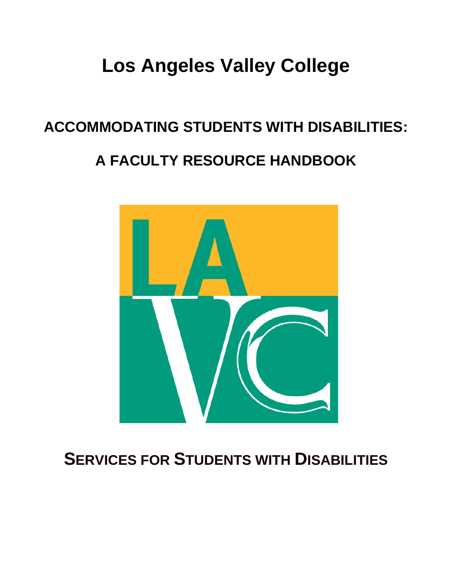# **Los Angeles Valley College**

## **ACCOMMODATING STUDENTS WITH DISABILITIES:**

# **A FACULTY RESOURCE HANDBOOK**



# **SERVICES FOR STUDENTS WITH DISABILITIES**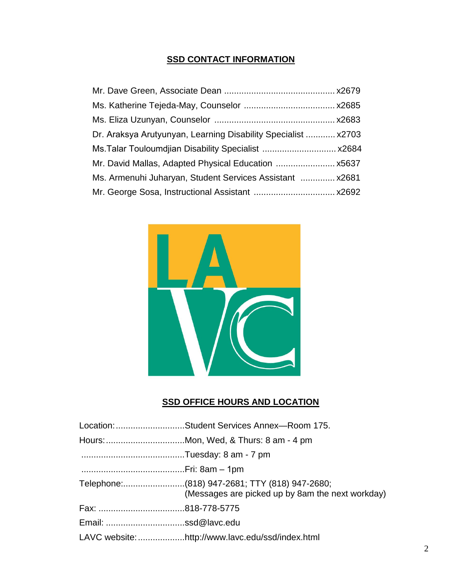## **SSD CONTACT INFORMATION**

| Dr. Araksya Arutyunyan, Learning Disability Specialist  x2703 |  |
|---------------------------------------------------------------|--|
| Ms. Talar Touloumdjian Disability Specialist  x2684           |  |
|                                                               |  |
| Ms. Armenuhi Juharyan, Student Services Assistant  x2681      |  |
|                                                               |  |



## **SSD OFFICE HOURS AND LOCATION**

|                     | Location: Student Services Annex-Room 175.                                                        |
|---------------------|---------------------------------------------------------------------------------------------------|
|                     |                                                                                                   |
|                     |                                                                                                   |
|                     |                                                                                                   |
|                     | Telephone:(818) 947-2681; TTY (818) 947-2680;<br>(Messages are picked up by 8am the next workday) |
|                     |                                                                                                   |
| Email: ssd@lavc.edu |                                                                                                   |
|                     | LAVC website: http://www.lavc.edu/ssd/index.html                                                  |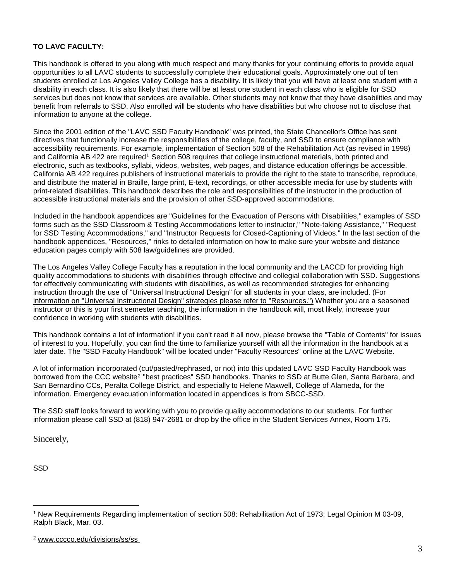#### **TO LAVC FACULTY:**

This handbook is offered to you along with much respect and many thanks for your continuing efforts to provide equal opportunities to all LAVC students to successfully complete their educational goals. Approximately one out of ten students enrolled at Los Angeles Valley College has a disability. It is likely that you will have at least one student with a disability in each class. It is also likely that there will be at least one student in each class who is eligible for SSD services but does not know that services are available. Other students may not know that they have disabilities and may benefit from referrals to SSD. Also enrolled will be students who have disabilities but who choose not to disclose that information to anyone at the college.

Since the 2001 edition of the "LAVC SSD Faculty Handbook" was printed, the State Chancellor's Office has sent directives that functionally increase the responsibilities of the college, faculty, and SSD to ensure compliance with accessibility requirements. For example, implementation of Section 508 of the Rehabilitation Act (as revised in 1998) and California AB 422 are required<sup>[1](#page-2-0)</sup> Section 508 requires that college instructional materials, both printed and electronic, such as textbooks, syllabi, videos, websites, web pages, and distance education offerings be accessible. California AB 422 requires publishers of instructional materials to provide the right to the state to transcribe, reproduce, and distribute the material in Braille, large print, E-text, recordings, or other accessible media for use by students with print-related disabilities. This handbook describes the role and responsibilities of the instructor in the production of accessible instructional materials and the provision of other SSD-approved accommodations.

Included in the handbook appendices are "Guidelines for the Evacuation of Persons with Disabilities," examples of SSD forms such as the SSD Classroom & Testing Accommodations letter to instructor," "Note-taking Assistance," "Request for SSD Testing Accommodations," and "Instructor Requests for Closed-Captioning of Videos." In the last section of the handbook appendices, "Resources," rinks to detailed information on how to make sure your website and distance education pages comply with 508 law/guidelines are provided.

The Los Angeles Valley College Faculty has a reputation in the local community and the LACCD for providing high quality accommodations to students with disabilities through effective and collegial collaboration with SSD. Suggestions for effectively communicating with students with disabilities, as well as recommended strategies for enhancing instruction through the use of "Universal Instructional Design" for all students in your class, are included. (For information on "Universal Instructional Design" strategies please refer to "Resources.") Whether you are a seasoned instructor or this is your first semester teaching, the information in the handbook will, most likely, increase your confidence in working with students with disabilities.

This handbook contains a lot of information! if you can't read it all now, please browse the "Table of Contents" for issues of interest to you. Hopefully, you can find the time to familiarize yourself with all the information in the handbook at a later date. The "SSD Faculty Handbook" will be located under "Faculty Resources" online at the LAVC Website.

A lot of information incorporated (cut/pasted/rephrased, or not) into this updated LAVC SSD Faculty Handbook was borrowed from the CCC website[2](#page-2-1) "best practices" SSD handbooks. Thanks to SSD at Butte Glen, Santa Barbara, and San Bernardino CCs, Peralta College District, and especially to Helene Maxwell, College of Alameda, for the information. Emergency evacuation information located in appendices is from SBCC-SSD.

The SSD staff looks forward to working with you to provide quality accommodations to our students. For further information please call SSD at (818) 947-2681 or drop by the office in the Student Services Annex, Room 175.

Sincerely,

**SSD** 

<span id="page-2-0"></span><sup>1</sup> New Requirements Regarding implementation of section 508: Rehabilitation Act of 1973; Legal Opinion M 03-09, Ralph Black, Mar. 03.

<span id="page-2-1"></span><sup>2</sup> [www.cccco.edu/divisions/ss/ss](http://www.cccco.edu/divisions/ss/ss)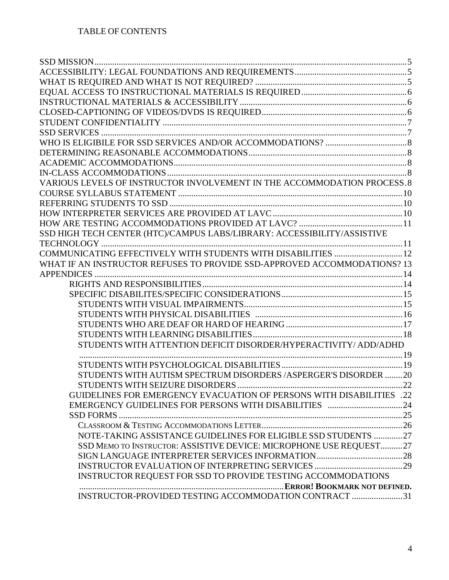<span id="page-3-0"></span>

| VARIOUS LEVELS OF INSTRUCTOR INVOLVEMENT IN THE ACCOMMODATION PROCESS.8     |  |
|-----------------------------------------------------------------------------|--|
|                                                                             |  |
|                                                                             |  |
|                                                                             |  |
|                                                                             |  |
| SSD HIGH TECH CENTER (HTC)/CAMPUS LABS/LIBRARY: ACCESSIBILITY/ASSISTIVE     |  |
|                                                                             |  |
| COMMUNICATING EFFECTIVELY WITH STUDENTS WITH DISABILITIES  12               |  |
| WHAT IF AN INSTRUCTOR REFUSES TO PROVIDE SSD-APPROVED ACCOMMODATIONS? 13    |  |
|                                                                             |  |
|                                                                             |  |
|                                                                             |  |
|                                                                             |  |
|                                                                             |  |
|                                                                             |  |
|                                                                             |  |
| STUDENTS WITH ATTENTION DEFICIT DISORDER/HYPERACTIVITY/ ADD/ADHD            |  |
|                                                                             |  |
|                                                                             |  |
| STUDENTS WITH AUTISM SPECTRUM DISORDERS / ASPERGER'S DISORDER 20            |  |
| 22                                                                          |  |
| <b>GUIDELINES FOR EMERGENCY EVACUATION OF PERSONS WITH DISABILITIES .22</b> |  |
|                                                                             |  |
|                                                                             |  |
|                                                                             |  |
| NOTE-TAKING ASSISTANCE GUIDELINES FOR ELIGIBLE SSD STUDENTS 27              |  |
| SSD MEMO TO INSTRUCTOR: ASSISTIVE DEVICE: MICROPHONE USE REQUEST27          |  |
|                                                                             |  |
|                                                                             |  |
| INSTRUCTOR REQUEST FOR SSD TO PROVIDE TESTING ACCOMMODATIONS                |  |
|                                                                             |  |
| INSTRUCTOR-PROVIDED TESTING ACCOMMODATION CONTRACT 31                       |  |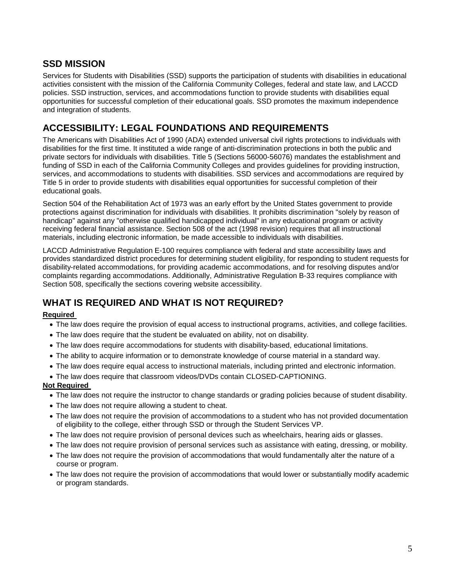## **SSD MISSION**

Services for Students with Disabilities (SSD) supports the participation of students with disabilities in educational activities consistent with the mission of the California Community Colleges, federal and state law, and LACCD policies. SSD instruction, services, and accommodations function to provide students with disabilities equal opportunities for successful completion of their educational goals. SSD promotes the maximum independence and integration of students.

## <span id="page-4-0"></span>**ACCESSIBILITY: LEGAL FOUNDATIONS AND REQUIREMENTS**

The Americans with Disabilities Act of 1990 (ADA) extended universal civil rights protections to individuals with disabilities for the first time. It instituted a wide range of anti-discrimination protections in both the public and private sectors for individuals with disabilities. Title 5 (Sections 56000-56076) mandates the establishment and funding of SSD in each of the California Community Colleges and provides guidelines for providing instruction, services, and accommodations to students with disabilities. SSD services and accommodations are required by Title 5 in order to provide students with disabilities equal opportunities for successful completion of their educational goals.

Section 504 of the Rehabilitation Act of 1973 was an early effort by the United States government to provide protections against discrimination for individuals with disabilities. It prohibits discrimination "solely by reason of handicap" against any "otherwise qualified handicapped individual" in any educational program or activity receiving federal financial assistance. Section 508 of the act (1998 revision) requires that all instructional materials, including electronic information, be made accessible to individuals with disabilities.

LACCD Administrative Regulation E-100 requires compliance with federal and state accessibility laws and provides standardized district procedures for determining student eligibility, for responding to student requests for disability-related accommodations, for providing academic accommodations, and for resolving disputes and/or complaints regarding accommodations. Additionally, Administrative Regulation B-33 requires compliance with Section 508, specifically the sections covering website accessibility.

## <span id="page-4-1"></span>**WHAT IS REQUIRED AND WHAT IS NOT REQUIRED?**

#### **Required**

- The law does require the provision of equal access to instructional programs, activities, and college facilities.
- The law does require that the student be evaluated on ability, not on disability.
- The law does require accommodations for students with disability-based, educational limitations.
- The ability to acquire information or to demonstrate knowledge of course material in a standard way.
- The law does require equal access to instructional materials, including printed and electronic information.
- The law does require that classroom videos/DVDs contain CLOSED-CAPTIONING.

#### **Not Required**

- The law does not require the instructor to change standards or grading policies because of student disability.
- The law does not require allowing a student to cheat.
- The law does not require the provision of accommodations to a student who has not provided documentation of eligibility to the college, either through SSD or through the Student Services VP.
- The law does not require provision of personal devices such as wheelchairs, hearing aids or glasses.
- The law does not require provision of personal services such as assistance with eating, dressing, or mobility.
- The law does not require the provision of accommodations that would fundamentally alter the nature of a course or program.
- <span id="page-4-2"></span>• The law does not require the provision of accommodations that would lower or substantially modify academic or program standards.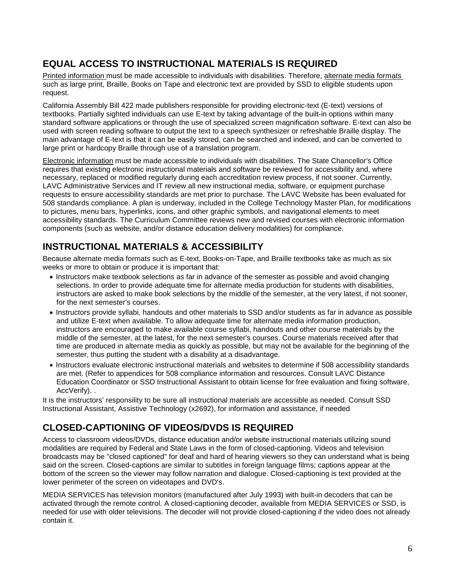## **EQUAL ACCESS TO INSTRUCTIONAL MATERIALS IS REQUIRED**

Printed information must be made accessible to individuals with disabilities. Therefore, alternate media formats such as large print, Braille, Books on Tape and electronic text are provided by SSD to eligible students upon request.

California Assembly Bill 422 made publishers responsible for providing electronic-text (E-text) versions of textbooks. Partially sighted individuals can use E-text by taking advantage of the built-in options within many standard software applications or through the use of specialized screen magnification software. E-text can also be used with screen reading software to output the text to a speech synthesizer or refreshable Braille display. The main advantage of E-text is that it can be easily stored, can be searched and indexed, and can be converted to large print or hardcopy Braille through use of a translation program.

Electronic information must be made accessible to individuals with disabilities. The State Chancellor's Office requires that existing electronic instructional materials and software be reviewed for accessibility and, where necessary, replaced or modified regularly during each accreditation review process, if not sooner. Currently, LAVC Administrative Services and IT review all new instructional media, software, or equipment purchase requests to ensure accessibility standards are met prior to purchase. The LAVC Website has been evaluated for 508 standards compliance. A plan is underway, included in the College Technology Master Plan, for modifications to pictures, menu bars, hyperlinks, icons, and other graphic symbols, and navigational elements to meet accessibility standards. The Curriculum Committee reviews new and revised courses with electronic information components (such as website, and/or distance education delivery modalities) for compliance.

## <span id="page-5-0"></span>**INSTRUCTIONAL MATERIALS & ACCESSIBILITY**

Because alternate media formats such as E-text, Books-on-Tape, and Braille textbooks take as much as six weeks or more to obtain or produce it is important that:

- Instructors make textbook selections as far in advance of the semester as possible and avoid changing selections. In order to provide adequate time for alternate media production for students with disabilities, instructors are asked to make book selections by the middle of the semester, at the very latest, if not sooner, for the next semester's courses.
- Instructors provide syllabi, handouts and other materials to SSD and/or students as far in advance as possible and utilize E-text when available. To allow adequate time for alternate media information production, instructors are encouraged to make available course syllabi, handouts and other course materials by the middle of the semester, at the latest, for the next semester's courses. Course materials received after that time are produced in alternate media as quickly as possible, but may not be available for the beginning of the semester, thus putting the student with a disability at a disadvantage.
- Instructors evaluate electronic instructional materials and websites to determine if 508 accessibility standards are met. (Refer to appendices for 508 compliance information and resources. Consult LAVC Distance Education Coordinator or SSD Instructional Assistant to obtain license for free evaluation and fixing software, AccVerify). .

It is the instructors' responsility to be sure all instructional materials are accessible as needed. Consult SSD Instructional Assistant, Assistive Technology (x2692), for information and assistance, if needed

## <span id="page-5-1"></span>**CLOSED-CAPTIONING OF VIDEOS/DVDS IS REQUIRED**

Access to classroom videos/DVDs, distance education and/or website instructional materials utilizing sound modalities are required by Federal and State Laws in the form of closed-captioning. Videos and television broadcasts may be "closed captioned" for deaf and hard of hearing viewers so they can understand what is being said on the screen. Closed-captions are similar to subtitles in foreign language films; captions appear at the bottom of the screen so the viewer may follow narration and dialogue. Closed-captioning is text provided at the lower perimeter of the screen on videotapes and DVD's.

MEDIA SERVICES has television monitors (manufactured after July 1993) with built-in decoders that can be activated through the remote control. A closed-captioning decoder, available from MEDIA SERVICES or SSD, is needed for use with older televisions. The decoder will not provide closed-captioning if the video does not already contain it.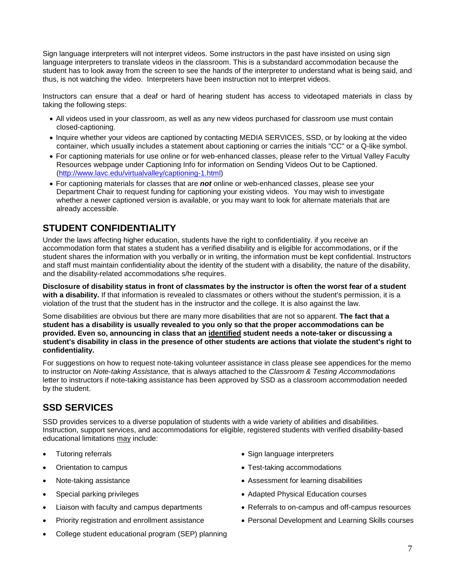Sign language interpreters will not interpret videos. Some instructors in the past have insisted on using sign language interpreters to translate videos in the classroom. This is a substandard accommodation because the student has to look away from the screen to see the hands of the interpreter to understand what is being said, and thus, is not watching the video. Interpreters have been instruction not to interpret videos.

Instructors can ensure that a deaf or hard of hearing student has access to videotaped materials in class by taking the following steps:

- All videos used in your classroom, as well as any new videos purchased for classroom use must contain closed-captioning.
- Inquire whether your videos are captioned by contacting MEDIA SERVICES, SSD, or by looking at the video container, which usually includes a statement about captioning or carries the initials "CC" or a Q-like symbol.
- For captioning materials for use online or for web-enhanced classes, please refer to the Virtual Valley Faculty Resources webpage under Captioning Info for information on Sending Videos Out to be Captioned. [\(http://www.lavc.edu/virtualvalley/captioning-1.html\)](http://www.lavc.edu/virtualvalley/captioning-1.html)
- For captioning materials for classes that are *not* online or web-enhanced classes, please see your Department Chair to request funding for captioning your existing videos. You may wish to investigate whether a newer captioned version is available, or you may want to look for alternate materials that are already accessible.

## <span id="page-6-0"></span>**STUDENT CONFIDENTIALITY**

Under the laws affecting higher education, students have the right to confidentiality. if you receive an accommodation form that states a student has a verified disability and is eligible for accommodations, or if the student shares the information with you verbally or in writing, the information must be kept confidential. Instructors and staff must maintain confidentiality about the identity of the student with a disability, the nature of the disability, and the disability-related accommodations s/he requires.

**Disclosure of disability status in front of classmates by the instructor is often the worst fear of a student with a disability.** If that information is revealed to classmates or others without the student's permission, it is a violation of the trust that the student has in the instructor and the college. It is also against the law.

Some disabilities are obvious but there are many more disabilities that are not so apparent. **The fact that a student has a disability is usually revealed to you only so that the proper accommodations can be provided. Even so, announcing in class that an identified student needs a note-taker or discussing a student's disability in class in the presence of other students are actions that violate the student's right to confidentiality.** 

For suggestions on how to request note-taking volunteer assistance in class please see appendices for the memo to instructor on *Note-taking Assistance,* that is always attached to the *Classroom & Testing Accommodations* letter to instructors if note-taking assistance has been approved by SSD as a classroom accommodation needed by the student.

## <span id="page-6-1"></span>**SSD SERVICES**

SSD provides services to a diverse population of students with a wide variety of abilities and disabilities. Instruction, support services, and accommodations for eligible, registered students with verified disability-based educational limitations may include:

- Tutoring referrals
- Orientation to campus
- Note-taking assistance
- Special parking privileges
- Liaison with faculty and campus departments
- Priority registration and enrollment assistance
- College student educational program (SEP) planning
- Sign language interpreters
- Test-taking accommodations
- Assessment for learning disabilities
- Adapted Physical Education courses
- Referrals to on-campus and off-campus resources
- Personal Development and Learning Skills courses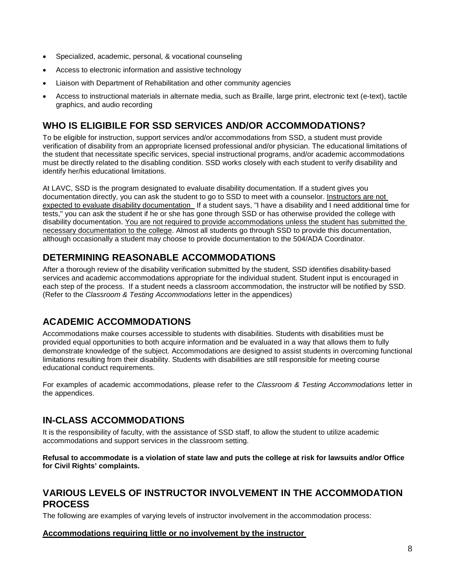- Specialized, academic, personal, & vocational counseling
- Access to electronic information and assistive technology
- Liaison with Department of Rehabilitation and other community agencies
- Access to instructional materials in alternate media, such as Braille, large print, electronic text (e-text), tactile graphics, and audio recording

## <span id="page-7-0"></span>**WHO IS ELIGIBILE FOR SSD SERVICES AND/OR ACCOMMODATIONS?**

To be eligible for instruction, support services and/or accommodations from SSD, a student must provide verification of disability from an appropriate licensed professional and/or physician. The educational limitations of the student that necessitate specific services, special instructional programs, and/or academic accommodations must be directly related to the disabling condition. SSD works closely with each student to verify disability and identify her/his educational limitations.

At LAVC, SSD is the program designated to evaluate disability documentation. If a student gives you documentation directly, you can ask the student to go to SSD to meet with a counselor. Instructors are not expected to evaluate disability documentation\_ If a student says, "I have a disability and I need additional time for tests," you can ask the student if he or she has gone through SSD or has otherwise provided the college with disability documentation. You are not required to provide accommodations unless the student has submitted the necessary documentation to the college. Almost all students go through SSD to provide this documentation, although occasionally a student may choose to provide documentation to the 504/ADA Coordinator.

## <span id="page-7-1"></span>**DETERMINING REASONABLE ACCOMMODATIONS**

After a thorough review of the disability verification submitted by the student, SSD identifies disability-based services and academic accommodations appropriate for the individual student. Student input is encouraged in each step of the process. If a student needs a classroom accommodation, the instructor will be notified by SSD. (Refer to the *Classroom & Testing Accommodations* letter in the appendices)

## <span id="page-7-2"></span>**ACADEMIC ACCOMMODATIONS**

Accommodations make courses accessible to students with disabilities. Students with disabilities must be provided equal opportunities to both acquire information and be evaluated in a way that allows them to fully demonstrate knowledge of the subject. Accommodations are designed to assist students in overcoming functional limitations resulting from their disability. Students with disabilities are still responsible for meeting course educational conduct requirements.

For examples of academic accommodations, please refer to the *Classroom & Testing Accommodations* letter in the appendices.

## <span id="page-7-3"></span>**IN-CLASS ACCOMMODATIONS**

It is the responsibility of faculty, with the assistance of SSD staff, to allow the student to utilize academic accommodations and support services in the classroom setting.

**Refusal to accommodate is a violation of state law and puts the college at risk for lawsuits and/or Office for Civil Rights' complaints.** 

## <span id="page-7-4"></span>**VARIOUS LEVELS OF INSTRUCTOR INVOLVEMENT IN THE ACCOMMODATION PROCESS**

The following are examples of varying levels of instructor involvement in the accommodation process:

#### **Accommodations requiring little or no involvement by the instructor**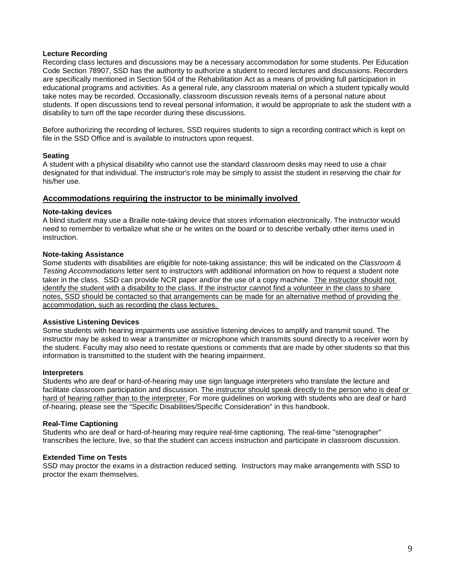#### **Lecture Recording**

Recording class lectures and discussions may be a necessary accommodation for some students. Per Education Code Section 78907, SSD has the authority to authorize a student to record lectures and discussions. Recorders are specifically mentioned in Section 504 of the Rehabilitation Act as a means of providing full participation in educational programs and activities. As a general rule, any classroom material on which a student typically would take notes may be recorded. Occasionally, classroom discussion reveals items of a personal nature about students. If open discussions tend to reveal personal information, it would be appropriate to ask the student with a disability to turn off the tape recorder during these discussions.

Before authorizing the recording of lectures, SSD requires students to sign a recording contract which is kept on file in the SSD Office and is available to instructors upon request.

#### **Seating**

A student with a physical disability who cannot use the standard classroom desks may need to use a chair designated for that individual. The instructor's role may be simply to assist the student in reserving the chair *for*  his/her use.

#### **Accommodations requiring the instructor to be minimally involved**

#### **Note-taking devices**

A blind student may use a Braille note-taking device that stores information electronically. The instructor would need to remember to verbalize what she or he writes on the board or to describe verbally other items used in instruction.

#### **Note-taking Assistance**

Some students with disabilities are eligible for note-taking assistance; this will be indicated on the *Classroom & Testing Accommodations* letter sent to instructors with additional information on how to request a student note taker in the class. SSD can provide NCR paper and/or the use of a copy machine. The instructor should not identify the student with a disability to the class. If the instructor cannot find a volunteer in the class to share notes, SSD should be contacted so that arrangements can be made for an alternative method of providing the accommodation, such as recording the class lectures.

#### **Assistive Listening Devices**

Some students with hearing impairments use assistive listening devices to amplify and transmit sound. The instructor may be asked to wear a transmitter or microphone which transmits sound directly to a receiver worn by the student. Faculty may also need to restate questions or comments that are made by other students so that this information is transmitted to the student with the hearing impairment.

#### **Interpreters**

Students who are deaf or hard-of-hearing may use sign language interpreters who translate the lecture and facilitate classroom participation and discussion. The instructor should speak directly to the person who is deaf or hard of hearing rather than to the interpreter. For more guidelines on working with students who are deaf or hard of-hearing, please see the "Specific Disabilities/Specific Consideration" in this handbook.

#### **Real-Time Captioning**

Students who are deaf or hard-of-hearing may require real-time captioning. The real-time "stenographer" transcribes the lecture, live, so that the student can access instruction and participate in classroom discussion.

#### **Extended Time on Tests**

SSD may proctor the exams in a distraction reduced setting. Instructors may make arrangements with SSD to proctor the exam themselves.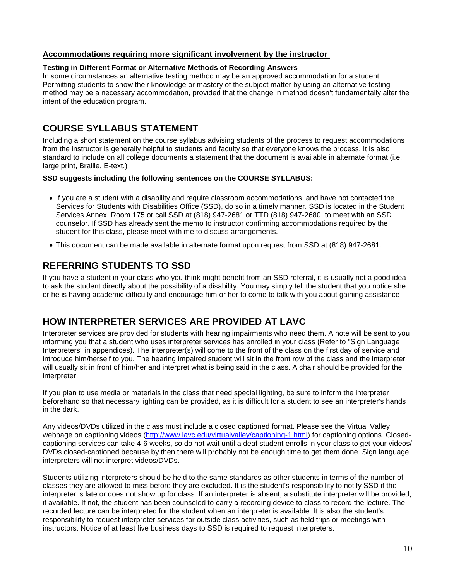#### **Accommodations requiring more significant involvement by the instructor**

#### **Testing in Different Format or Alternative Methods of Recording Answers**

In some circumstances an alternative testing method may be an approved accommodation for a student. Permitting students to show their knowledge or mastery of the subject matter by using an alternative testing method may be a necessary accommodation, provided that the change in method doesn't fundamentally alter the intent of the education program.

## <span id="page-9-0"></span>**COURSE SYLLABUS STATEMENT**

Including a short statement on the course syllabus advising students of the process to request accommodations from the instructor is generally helpful to students and faculty so that everyone knows the process. It is also standard to include on all college documents a statement that the document is available in alternate format (i.e. large print, Braille, E-text.)

#### **SSD suggests including the following sentences on the COURSE SYLLABUS:**

- If you are a student with a disability and require classroom accommodations, and have not contacted the Services for Students with Disabilities Office (SSD), do so in a timely manner. SSD is located in the Student Services Annex, Room 175 or call SSD at (818) 947-2681 or TTD (818) 947-2680, to meet with an SSD counselor. If SSD has already sent the memo to instructor confirming accommodations required by the student for this class, please meet with me to discuss arrangements.
- This document can be made available in alternate format upon request from SSD at (818) 947-2681.

## <span id="page-9-1"></span>**REFERRING STUDENTS TO SSD**

If you have a student in your class who you think might benefit from an SSD referral, it is usually not a good idea to ask the student directly about the possibility of a disability. You may simply tell the student that you notice she or he is having academic difficulty and encourage him or her to come to talk with you about gaining assistance

## <span id="page-9-2"></span>**HOW INTERPRETER SERVICES ARE PROVIDED AT LAVC**

Interpreter services are provided for students with hearing impairments who need them. A note will be sent to you informing you that a student who uses interpreter services has enrolled in your class (Refer to "Sign Language Interpreters" in appendices). The interpreter(s) will come to the front of the class on the first day of service and introduce him/herself to you. The hearing impaired student will sit in the front row of the class and the interpreter will usually sit in front of him/her and interpret what is being said in the class. A chair should be provided for the interpreter.

If you plan to use media or materials in the class that need special lighting, be sure to inform the interpreter beforehand so that necessary lighting can be provided, as it is difficult for a student to see an interpreter's hands in the dark.

Any videos/DVDs utilized in the class must include a closed captioned format. Please see the Virtual Valley webpage on captioning videos [\(http://www.lavc.edu/virtualvalley/captioning-1.html\)](http://www.lavc.edu/virtualvalley/captioning-1.html) for captioning options. Closedcaptioning services can take 4-6 weeks, so do not wait until a deaf student enrolls in your class to get your videos/ DVDs closed-captioned because by then there will probably not be enough time to get them done. Sign language interpreters will not interpret videos/DVDs.

Students utilizing interpreters should be held to the same standards as other students in terms of the number of classes they are allowed to miss before they are excluded. It is the student's responsibility to notify SSD if the interpreter is late or does not show up for class. If an interpreter is absent, a substitute interpreter will be provided, if available. If not, the student has been counseled to carry a recording device to class to record the lecture. The recorded lecture can be interpreted for the student when an interpreter is available. It is also the student's responsibility to request interpreter services for outside class activities, such as field trips or meetings with instructors. Notice of at least five business days to SSD is required to request interpreters.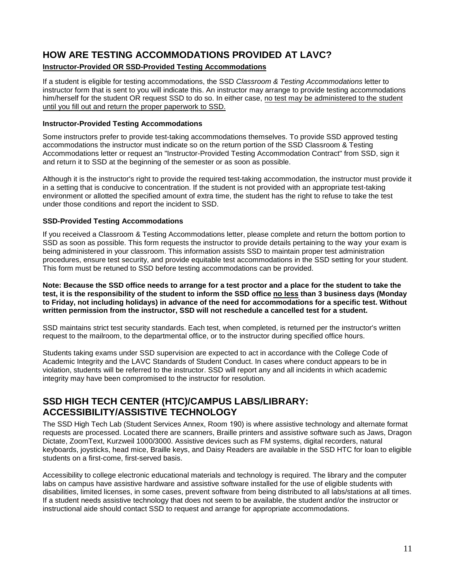## <span id="page-10-0"></span>**HOW ARE TESTING ACCOMMODATIONS PROVIDED AT LAVC?**

#### **Instructor-Provided OR SSD-Provided Testing Accommodations**

If a student is eligible for testing accommodations, the SSD *Classroom & Testing Accommodations* letter to instructor form that is sent to you will indicate this. An instructor may arrange to provide testing accommodations him/herself for the student OR request SSD to do so. In either case, no test may be administered to the student until you fill out and return the proper paperwork to SSD.

#### **Instructor-Provided Testing Accommodations**

Some instructors prefer to provide test-taking accommodations themselves. To provide SSD approved testing accommodations the instructor must indicate so on the return portion of the SSD Classroom & Testing Accommodations letter or request an "Instructor-Provided Testing Accommodation Contract" from SSD, sign it and return it to SSD at the beginning of the semester or as soon as possible.

Although it is the instructor's right to provide the required test-taking accommodation, the instructor must provide it in a setting that is conducive to concentration. If the student is not provided with an appropriate test-taking environment or allotted the specified amount of extra time, the student has the right to refuse to take the test under those conditions and report the incident to SSD.

#### **SSD-Provided Testing Accommodations**

If you received a Classroom & Testing Accommodations letter, please complete and return the bottom portion to SSD as soon as possible. This form requests the instructor to provide details pertaining to the way your exam is being administered in your classroom. This information assists SSD to maintain proper test administration procedures, ensure test security, and provide equitable test accommodations in the SSD setting for your student. This form must be retuned to SSD before testing accommodations can be provided.

**Note: Because the SSD office needs to arrange for a test proctor and a place for the student to take the test, it is the responsibility of the student to inform the SSD office no less than 3 business days (Monday to Friday, not including holidays) in advance of the need for accommodations for a specific test. Without written permission from the instructor, SSD will not reschedule a cancelled test for a student.**

SSD maintains strict test security standards. Each test, when completed, is returned per the instructor's written request to the mailroom, to the departmental office, or to the instructor during specified office hours.

Students taking exams under SSD supervision are expected to act in accordance with the College Code of Academic Integrity and the LAVC Standards of Student Conduct. In cases where conduct appears to be in violation, students will be referred to the instructor. SSD will report any and all incidents in which academic integrity may have been compromised to the instructor for resolution.

## <span id="page-10-1"></span>**SSD HIGH TECH CENTER (HTC)/CAMPUS LABS/LIBRARY: ACCESSIBILITY/ASSISTIVE TECHNOLOGY**

The SSD High Tech Lab (Student Services Annex, Room 190) is where assistive technology and alternate format requests are processed. Located there are scanners, Braille printers and assistive software such as Jaws, Dragon Dictate, ZoomText, Kurzweil 1000/3000. Assistive devices such as FM systems, digital recorders, natural keyboards, joysticks, head mice, Braille keys, and Daisy Readers are available in the SSD HTC for loan to eligible students on a first-come, first-served basis.

Accessibility to college electronic educational materials and technology is required. The library and the computer labs on campus have assistive hardware and assistive software installed for the use of eligible students with disabilities, limited licenses, in some cases, prevent software from being distributed to all labs/stations at all times. If a student needs assistive technology that does not seem to be available, the student and/or the instructor or instructional aide should contact SSD to request and arrange for appropriate accommodations.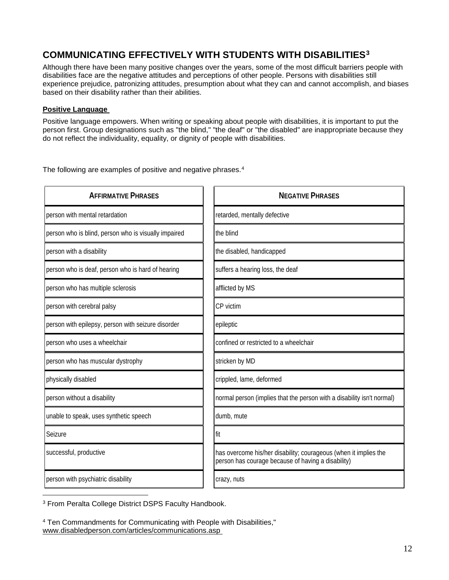## <span id="page-11-0"></span>**COMMUNICATING EFFECTIVELY WITH STUDENTS WITH DISABILITIES[3](#page-11-1)**

Although there have been many positive changes over the years, some of the most difficult barriers people with disabilities face are the negative attitudes and perceptions of other people. Persons with disabilities still experience prejudice, patronizing attitudes, presumption about what they can and cannot accomplish, and biases based on their disability rather than their abilities.

#### **Positive Language**

Positive language empowers. When writing or speaking about people with disabilities, it is important to put the person first. Group designations such as "the blind," "the deaf" or "the disabled" are inappropriate because they do not reflect the individuality, equality, or dignity of people with disabilities.

The following are examples of positive and negative phrases.<sup>[4](#page-11-2)</sup>

| <b>AFFIRMATIVE PHRASES</b>                           | <b>NEGATIVE PHRASES</b>                                                                                                |
|------------------------------------------------------|------------------------------------------------------------------------------------------------------------------------|
| person with mental retardation                       | retarded, mentally defective                                                                                           |
| person who is blind, person who is visually impaired | the blind                                                                                                              |
| person with a disability                             | the disabled, handicapped                                                                                              |
| person who is deaf, person who is hard of hearing    | suffers a hearing loss, the deaf                                                                                       |
| person who has multiple sclerosis                    | afflicted by MS                                                                                                        |
| person with cerebral palsy                           | CP victim                                                                                                              |
| person with epilepsy, person with seizure disorder   | epileptic                                                                                                              |
| person who uses a wheelchair                         | confined or restricted to a wheelchair                                                                                 |
| person who has muscular dystrophy                    | stricken by MD                                                                                                         |
| physically disabled                                  | crippled, lame, deformed                                                                                               |
| person without a disability                          | normal person (implies that the person with a disability isn't normal)                                                 |
| unable to speak, uses synthetic speech               | dumb, mute                                                                                                             |
| Seizure                                              | fit                                                                                                                    |
| successful, productive                               | has overcome his/her disability; courageous (when it implies the<br>person has courage because of having a disability) |
| person with psychiatric disability                   | crazy, nuts                                                                                                            |

<span id="page-11-1"></span><sup>3</sup> From Peralta College District DSPS Faculty Handbook.

<span id="page-11-2"></span><sup>4</sup> Ten Commandments for Communicating with People with Disabilities," [www.disabledperson.com/articles/communications.asp](http://www.disabledperson.com/articles/communications.asp)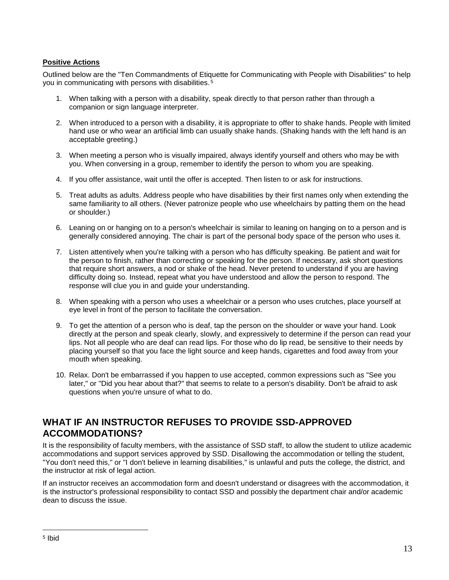#### **Positive Actions**

Outlined below are the "Ten Commandments of Etiquette for Communicating with People with Disabilities" to help you in communicating with persons with disabilities. [5](#page-12-1)

- 1. When talking with a person with a disability, speak directly to that person rather than through a companion or sign language interpreter.
- 2. When introduced to a person with a disability, it is appropriate to offer to shake hands. People with limited hand use or who wear an artificial limb can usually shake hands. (Shaking hands with the left hand is an acceptable greeting.)
- 3. When meeting a person who is visually impaired, always identify yourself and others who may be with you. When conversing in a group, remember to identify the person to whom you are speaking.
- 4. If you offer assistance, wait until the offer is accepted. Then listen to or ask for instructions.
- 5. Treat adults as adults. Address people who have disabilities by their first names only when extending the same familiarity to all others. (Never patronize people who use wheelchairs by patting them on the head or shoulder.)
- 6. Leaning on or hanging on to a person's wheelchair is similar to leaning on hanging on to a person and is generally considered annoying. The chair is part of the personal body space of the person who uses it.
- 7. Listen attentively when you're talking with a person who has difficulty speaking. Be patient and wait for the person to finish, rather than correcting or speaking for the person. If necessary, ask short questions that require short answers, a nod or shake of the head. Never pretend to understand if you are having difficulty doing so. Instead, repeat what you have understood and allow the person to respond. The response will clue you in and guide your understanding.
- 8. When speaking with a person who uses a wheelchair or a person who uses crutches, place yourself at eye level in front of the person to facilitate the conversation.
- 9. To get the attention of a person who is deaf, tap the person on the shoulder or wave your hand. Look directly at the person and speak clearly, slowly, and expressively to determine if the person can read your lips. Not all people who are deaf can read lips. For those who do lip read, be sensitive to their needs by placing yourself so that you face the light source and keep hands, cigarettes and food away from your mouth when speaking.
- 10. Relax. Don't be embarrassed if you happen to use accepted, common expressions such as "See you later," or "Did you hear about that?" that seems to relate to a person's disability. Don't be afraid to ask questions when you're unsure of what to do.

## <span id="page-12-0"></span>**WHAT IF AN INSTRUCTOR REFUSES TO PROVIDE SSD-APPROVED ACCOMMODATIONS?**

It is the responsibility of faculty members, with the assistance of SSD staff, to allow the student to utilize academic accommodations and support services approved by SSD. Disallowing the accommodation or telling the student, "You don't need this," or "I don't believe in learning disabilities," is unlawful and puts the college, the district, and the instructor at risk of legal action.

If an instructor receives an accommodation form and doesn't understand or disagrees with the accommodation, it is the instructor's professional responsibility to contact SSD and possibly the department chair and/or academic dean to discuss the issue.

<span id="page-12-1"></span>-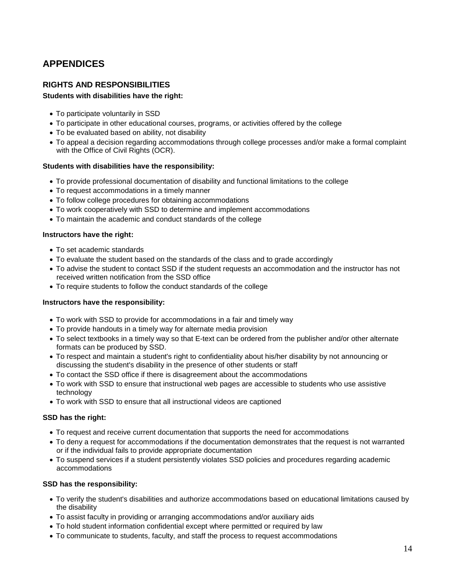## <span id="page-13-0"></span>**APPENDICES**

## <span id="page-13-1"></span>**RIGHTS AND RESPONSIBILITIES**

#### **Students with disabilities have the right:**

- To participate voluntarily in SSD
- To participate in other educational courses, programs, or activities offered by the college
- To be evaluated based on ability, not disability
- To appeal a decision regarding accommodations through college processes and/or make a formal complaint with the Office of Civil Rights (OCR).

#### **Students with disabilities have the responsibility:**

- To provide professional documentation of disability and functional limitations to the college
- To request accommodations in a timely manner
- To follow college procedures for obtaining accommodations
- To work cooperatively with SSD to determine and implement accommodations
- To maintain the academic and conduct standards of the college

#### **Instructors have the right:**

- To set academic standards
- To evaluate the student based on the standards of the class and to grade accordingly
- To advise the student to contact SSD if the student requests an accommodation and the instructor has not received written notification from the SSD office
- To require students to follow the conduct standards of the college

#### **Instructors have the responsibility:**

- To work with SSD to provide for accommodations in a fair and timely way
- To provide handouts in a timely way for alternate media provision
- To select textbooks in a timely way so that E-text can be ordered from the publisher and/or other alternate formats can be produced by SSD.
- To respect and maintain a student's right to confidentiality about his/her disability by not announcing or discussing the student's disability in the presence of other students or staff
- To contact the SSD office if there is disagreement about the accommodations
- To work with SSD to ensure that instructional web pages are accessible to students who use assistive technology
- To work with SSD to ensure that all instructional videos are captioned

#### **SSD has the right:**

- To request and receive current documentation that supports the need for accommodations
- To deny a request for accommodations if the documentation demonstrates that the request is not warranted or if the individual fails to provide appropriate documentation
- To suspend services if a student persistently violates SSD policies and procedures regarding academic accommodations

#### **SSD has the responsibility:**

- To verify the student's disabilities and authorize accommodations based on educational limitations caused by the disability
- To assist faculty in providing or arranging accommodations and/or auxiliary aids
- To hold student information confidential except where permitted or required by law
- To communicate to students, faculty, and staff the process to request accommodations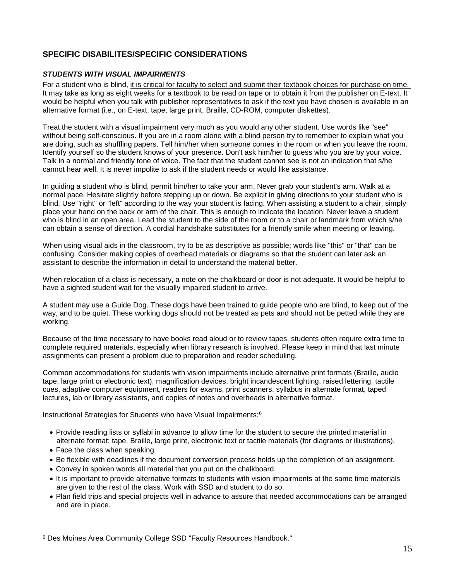#### <span id="page-14-0"></span>**SPECIFIC DISABILITES/SPECIFIC CONSIDERATIONS**

#### <span id="page-14-1"></span>*STUDENTS WITH VISUAL IMPAIRMENTS*

For a student who is blind, it is critical for faculty to select and submit their textbook choices for purchase on time. It may take as long as eight weeks for a textbook to be read on tape or to obtain it from the publisher on E-text. It would be helpful when you talk with publisher representatives to ask if the text you have chosen is available in an alternative format (i.e., on E-text, tape, large print, Braille, CD-ROM, computer diskettes).

Treat the student with a visual impairment very much as you would any other student. Use words like "see" without being self-conscious. If you are in a room alone with a blind person try to remember to explain what you are doing, such as shuffling papers. Tell him/her when someone comes in the room or when you leave the room. Identify yourself so the student knows of your presence. Don't ask him/her to guess who you are by your voice. Talk in a normal and friendly tone of voice. The fact that the student cannot see is not an indication that s/he cannot hear well. It is never impolite to ask if the student needs or would like assistance.

In guiding a student who is blind, permit him/her to take your arm. Never grab your student's arm. Walk at a normal pace. Hesitate slightly before stepping up or down. Be explicit in giving directions to your student who is blind. Use "right" or "left" according to the way your student is facing. When assisting a student to a chair, simply place your hand on the back or arm of the chair. This is enough to indicate the location. Never leave a student who is blind in an open area. Lead the student to the side of the room or to a chair or landmark from which s/he can obtain a sense of direction. A cordial handshake substitutes for a friendly smile when meeting or leaving.

When using visual aids in the classroom, try to be as descriptive as possible; words like "this" or "that" can be confusing. Consider making copies of overhead materials or diagrams so that the student can later ask an assistant to describe the information in detail to understand the material better.

When relocation of a class is necessary, a note on the chalkboard or door is not adequate. It would be helpful to have a sighted student wait for the visually impaired student to arrive.

A student may use a Guide Dog. These dogs have been trained to guide people who are blind, to keep out of the way, and to be quiet. These working dogs should not be treated as pets and should not be petted while they are working.

Because of the time necessary to have books read aloud or to review tapes, students often require extra time to complete required materials, especially when library research is involved. Please keep in mind that last minute assignments can present a problem due to preparation and reader scheduling.

Common accommodations for students with vision impairments include alternative print formats (Braille, audio tape, large print or electronic text), magnification devices, bright incandescent lighting, raised lettering, tactile cues, adaptive computer equipment, readers for exams, print scanners, syllabus in alternate format, taped lectures, lab or library assistants, and copies of notes and overheads in alternative format.

Instructional Strategies for Students who have Visual Impairments:[6](#page-14-2)

- Provide reading lists or syllabi in advance to allow time for the student to secure the printed material in alternate format: tape, Braille, large print, electronic text or tactile materials (for diagrams or illustrations).
- Face the class when speaking.

-

- Be flexible with deadlines if the document conversion process holds up the completion of an assignment.
- Convey in spoken words all material that you put on the chalkboard.
- It is important to provide alternative formats to students with vision impairments at the same time materials are given to the rest of the class. Work with SSD and student to do so.
- Plan field trips and special projects well in advance to assure that needed accommodations can be arranged and are in place.

<span id="page-14-2"></span><sup>6</sup> Des Moines Area Community College SSD "Faculty Resources Handbook."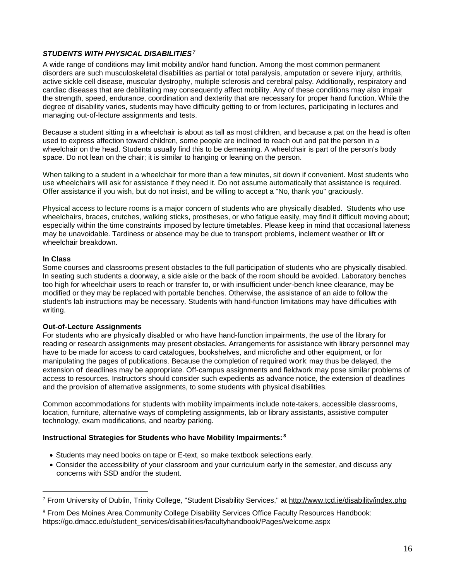#### <span id="page-15-0"></span>*STUDENTS WITH PHYSICAL DISABILITIES[7](#page-15-1)*

A wide range of conditions may limit mobility and/or hand function. Among the most common permanent disorders are such musculoskeletal disabilities as partial or total paralysis, amputation or severe injury, arthritis, active sickle cell disease, muscular dystrophy, multiple sclerosis and cerebral palsy. Additionally, respiratory and cardiac diseases that are debilitating may consequently affect mobility. Any of these conditions may also impair the strength, speed, endurance, coordination and dexterity that are necessary for proper hand function. While the degree of disability varies, students may have difficulty getting to or from lectures, participating in lectures and managing out-of-lecture assignments and tests.

Because a student sitting in a wheelchair is about as tall as most children, and because a pat on the head is often used to express affection toward children, some people are inclined to reach out and pat the person in a wheelchair on the head. Students usually find this to be demeaning. A wheelchair is part of the person's body space. Do not lean on the chair; it is similar to hanging or leaning on the person.

When talking to a student in a wheelchair for more than a few minutes, sit down if convenient. Most students who use wheelchairs will ask for assistance if they need it. Do not assume automatically that assistance is required. Offer assistance if you wish, but do not insist, and be willing to accept a "No, thank you" graciously.

Physical access to lecture rooms is a major concern of students who are physically disabled. Students who use wheelchairs, braces, crutches, walking sticks, prostheses, or who fatigue easily, may find it difficult moving about; especially within the time constraints imposed by lecture timetables. Please keep in mind that occasional lateness may be unavoidable. Tardiness or absence may be due to transport problems, inclement weather or lift or wheelchair breakdown.

#### **In Class**

Some courses and classrooms present obstacles to the full participation of students who are physically disabled. In seating such students a doorway, a side aisle or the back of the room should be avoided. Laboratory benches too high for wheelchair users to reach or transfer to, or with insufficient under-bench knee clearance, may be modified or they may be replaced with portable benches. Otherwise, the assistance of an aide to follow the student's lab instructions may be necessary. Students with hand-function limitations may have difficulties with writing.

#### **Out-of-Lecture Assignments**

For students who are physically disabled or who have hand-function impairments, the use of the library for reading or research assignments may present obstacles. Arrangements for assistance with library personnel may have to be made for access to card catalogues, bookshelves, and microfiche and other equipment, or for manipulating the pages of publications. Because the completion of required *work* may thus be delayed, the extension *of* deadlines may be appropriate. Off-campus assignments and fieldwork may pose similar problems of access to resources. Instructors should consider such expedients as advance notice, the extension of deadlines and the provision of alternative assignments, to some students with physical disabilities.

Common accommodations for students with mobility impairments include note-takers, accessible classrooms, location, furniture, alternative ways of completing assignments, lab or library assistants, assistive computer technology, exam modifications, and nearby parking.

#### **Instructional Strategies for Students who have Mobility Impairments: [8](#page-15-2)**

- Students may need books on tape or E-text, so make textbook selections early.
- Consider the accessibility of your classroom and your curriculum early in the semester, and discuss any concerns with SSD and/or the student.

<span id="page-15-1"></span><sup>7</sup> From University of Dublin, Trinity College, "Student Disability Services," at<http://www.tcd.ie/disability/index.php>

<span id="page-15-2"></span><sup>8</sup> From Des Moines Area Community College Disability Services Office Faculty Resources Handbook: [https://go.dmacc.edu/student\\_services/disabilities/facultyhandbook/Pages/welcome.aspx](https://go.dmacc.edu/student_services/disabilities/facultyhandbook/Pages/welcome.aspx)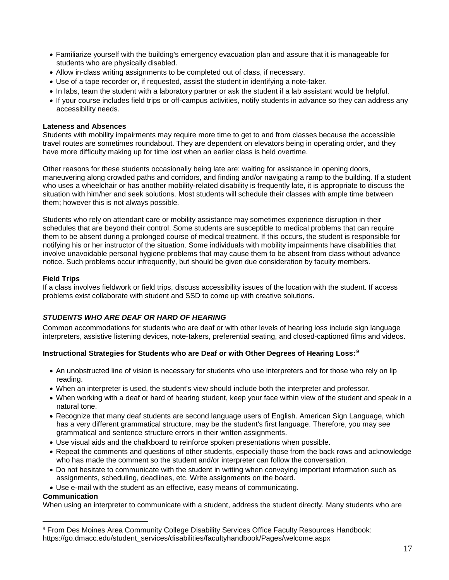- Familiarize yourself with the building's emergency evacuation plan and assure that it is manageable for students who are physically disabled.
- Allow in-class writing assignments to be completed out of class, if necessary.
- Use of a tape recorder or, if requested, assist the student in identifying a note-taker.
- In labs, team the student with a laboratory partner or ask the student if a lab assistant would be helpful.
- If your course includes field trips or off-campus activities, notify students in advance so they can address any accessibility needs.

#### **Lateness and Absences**

Students with mobility impairments may require more time to get to and from classes because the accessible travel routes are sometimes roundabout. They are dependent on elevators being in operating order, and they have more difficulty making up for time lost when an earlier class is held overtime.

Other reasons for these students occasionally being late are: waiting for assistance in opening doors, maneuvering along crowded paths and corridors, and finding and/or navigating a ramp to the building. If a student who uses a wheelchair or has another mobility-related disability is frequently late, it is appropriate to discuss the situation with him/her and seek solutions. Most students will schedule their classes with ample time between them; however this is not always possible.

Students who rely on attendant care or mobility assistance may sometimes experience disruption in their schedules that are beyond their control. Some students are susceptible to medical problems that can require them to be absent during a prolonged course of medical treatment. If this occurs, the student is responsible for notifying his or her instructor of the situation. Some individuals with mobility impairments have disabilities that involve unavoidable personal hygiene problems that may cause them to be absent from class without advance notice. Such problems occur infrequently, but should be given due consideration by faculty members.

#### **Field Trips**

If a class involves fieldwork or field trips, discuss accessibility issues of the location with the student. If access problems exist collaborate with student and SSD to come up with creative solutions.

#### <span id="page-16-0"></span>*STUDENTS WHO ARE DEAF OR HARD OF HEARING*

Common accommodations for students who are deaf or with other levels of hearing loss include sign language interpreters, assistive listening devices, note-takers, preferential seating, and closed-captioned films and videos.

#### **Instructional Strategies for Students who are Deaf or with Other Degrees of Hearing Loss: [9](#page-16-1)**

- An unobstructed line of vision is necessary for students who use interpreters and for those who rely on lip reading.
- When an interpreter is used, the student's view should include both the interpreter and professor.
- When working with a deaf or hard of hearing student, keep your face within view of the student and speak in a natural tone.
- Recognize that many deaf students are second language users of English. American Sign Language, which has a very different grammatical structure, may be the student's first language. Therefore, you may see grammatical and sentence structure errors in their written assignments.
- Use visual aids and the chalkboard to reinforce spoken presentations when possible.
- Repeat the comments and questions of other students, especially those from the back rows and acknowledge who has made the comment so the student and/or interpreter can follow the conversation.
- Do not hesitate to communicate with the student in writing when conveying important information such as assignments, scheduling, deadlines, etc. Write assignments on the board.
- Use e-mail with the student as an effective, easy means of communicating.

#### **Communication**

When using an interpreter to communicate with a student, address the student directly. Many students who are

<span id="page-16-1"></span><sup>9</sup> From Des Moines Area Community College Disability Services Office Faculty Resources Handbook: [https://go.dmacc.edu/student\\_services/disabilities/facultyhandbook/Pages/welcome.aspx](https://go.dmacc.edu/student_services/disabilities/facultyhandbook/Pages/welcome.aspx)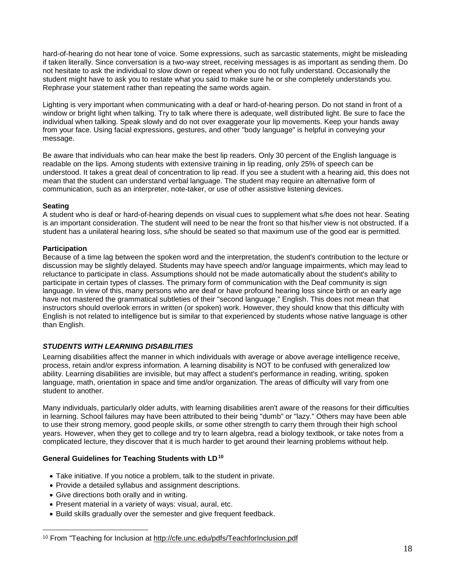hard-of-hearing do not hear tone of voice. Some expressions, such as sarcastic statements, might be misleading if taken literally. Since conversation is a two-way street, receiving messages is as important as sending them. Do not hesitate to ask the individual to slow down or repeat when you do not fully understand. Occasionally the student might have to ask you to restate what you said to make sure he or she completely understands you. Rephrase your statement rather than repeating the same words again.

Lighting is very important when communicating with a deaf or hard-of-hearing person. Do not stand in front of a window or bright light when talking. Try to talk where there is adequate, well distributed light. Be sure to face the individual when talking. Speak slowly and do not over exaggerate your lip movements. Keep your hands away from your face. Using facial expressions, gestures, and other "body language" is helpful in conveying your message.

Be aware that individuals who can hear make the best lip readers. Only 30 percent of the English language is readable on the lips. Among students with extensive training in lip reading, only 25% of speech can be understood. It takes a great deal of concentration to lip read. If you see a student with a hearing aid, this does not mean that the student can understand verbal language. The student may require an alternative form of communication, such as an interpreter, note-taker, or use of other assistive listening devices.

#### **Seating**

A student who is deaf or hard-of-hearing depends on visual cues to supplement what s/he does not hear. Seating is an important consideration. The student will need to be near the front so that his/her view is not obstructed. If a student has a unilateral hearing loss, s/he should be seated so that maximum use of the good ear is permitted.

#### **Participation**

Because of a time lag between the spoken word and the interpretation, the student's contribution to the lecture or discussion may be slightly delayed. Students may have speech and/or language impairments, which may lead to reluctance to participate in class. Assumptions should not be made automatically about the student's ability to participate in certain types of classes. The primary form of communication with the Deaf community is sign language. In view of this, many persons who are deaf or have profound hearing loss since birth or an early age have not mastered the grammatical subtleties of their "second language," English. This does not mean that instructors should overlook errors in written (or spoken) work. However, they should know that this difficulty with English is not related to intelligence but is similar to that experienced by students whose native language is other than English.

#### <span id="page-17-0"></span>*STUDENTS WITH LEARNING DISABILITIES*

Learning disabilities affect the manner in which individuals with average or above average intelligence receive, process, retain and/or express information. A learning disability is NOT to be confused with generalized low ability. Learning disabilities are invisible, but may affect a student's performance in reading, writing, spoken language, math, orientation in space and time and/or organization. The areas of difficulty will vary from one student to another.

Many individuals, particularly older adults, with learning disabilities aren't aware of the reasons for their difficulties in learning. School failures may have been attributed to their being "dumb" or "lazy." Others may have been able to use their strong memory, good people skills, or some other strength to carry them through their high school years. However, when they get to college and try to learn algebra, read a biology textbook, or take notes from a complicated lecture, they discover that it is much harder to get around their learning problems without help.

#### **General Guidelines for Teaching Students with LD[10](#page-17-1)**

- Take initiative. If you notice a problem, talk to the student in private.
- Provide a detailed syllabus and assignment descriptions.
- Give directions both orally and in writing.
- Present material in a variety of ways: visual, aural, etc.
- Build skills gradually over the semester and give frequent feedback.

<span id="page-17-1"></span><sup>10</sup> From "Teaching for Inclusion at<http://cfe.unc.edu/pdfs/TeachforInclusion.pdf>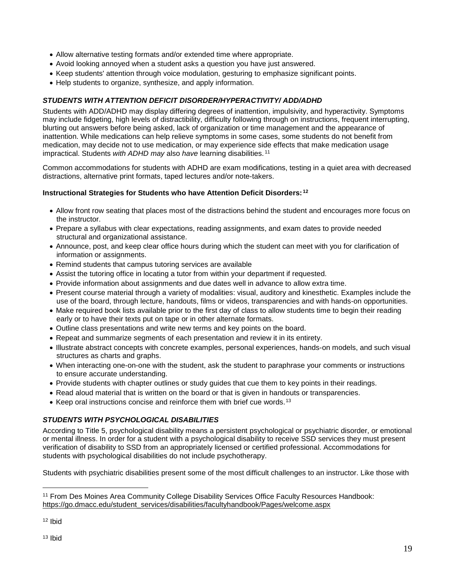- Allow alternative testing formats and/or extended time where appropriate.
- Avoid looking annoyed when a student asks a question you have just answered.
- Keep students' attention through voice modulation, gesturing to emphasize significant points.
- Help students to organize, synthesize, and apply information.

#### <span id="page-18-0"></span>*STUDENTS WITH ATTENTION DEFICIT DISORDER/HYPERACTIVITY/ ADD/ADHD*

Students with ADD/ADHD may display differing degrees of inattention, impulsivity, and hyperactivity. Symptoms may include fidgeting, high levels of distractibility, difficulty following through on instructions, frequent interrupting, blurting out answers before being asked, lack of organization or time management and the appearance of inattention. While medications can help relieve symptoms in some cases, some students do not benefit from medication, may decide not to use medication, or may experience side effects that make medication usage impractical. Students *with ADHD may* also *have* learning disabilities. [11](#page-18-2)

Common accommodations for students with ADHD are exam modifications, testing in a quiet area with decreased distractions, alternative print formats, taped lectures and/or note-takers.

#### **Instructional Strategies for Students who have Attention Deficit Disorders: [12](#page-18-3)**

- Allow front row seating that places most of the distractions behind the student and encourages more focus on the instructor.
- Prepare a syllabus with clear expectations, reading assignments, and exam dates to provide needed structural and organizational assistance.
- Announce, post, and keep clear office hours during which the student can meet with you for clarification of information or assignments.
- Remind students that campus tutoring services are available
- Assist the tutoring office in locating a tutor from within your department if requested.
- Provide information about assignments and due dates well in advance to allow extra time.
- Present course material through a variety of modalities: visual, auditory and kinesthetic. Examples include the use of the board, through lecture, handouts, films or videos, transparencies and with hands-on opportunities.
- Make required book lists available prior to the first day of class to allow students time to begin their reading early or to have their texts put on tape or in other alternate formats.
- Outline class presentations and write new terms and key points on the board.
- Repeat and summarize segments of each presentation and review it in its entirety.
- Illustrate abstract concepts with concrete examples, personal experiences, hands-on models, and such visual structures as charts and graphs.
- When interacting one-on-one with the student, ask the student to paraphrase your comments or instructions to ensure accurate understanding.
- Provide students with chapter outlines or study guides that cue them to key points in their readings.
- Read aloud material that is written on the board or that is given in handouts or transparencies.
- Keep oral instructions concise and reinforce them with brief cue words.<sup>[13](#page-18-4)</sup>

#### <span id="page-18-1"></span>*STUDENTS WITH PSYCHOLOGICAL DISABILITIES*

According to Title 5, psychological disability means a persistent psychological or psychiatric disorder, or emotional or mental illness. In order for a student with a psychological disability to receive SSD services they must present verification of disability to SSD from an appropriately licensed or certified professional. Accommodations for students with psychological disabilities do not include psychotherapy.

Students with psychiatric disabilities present some of the most difficult challenges to an instructor. Like those with

<span id="page-18-2"></span><sup>-</sup><sup>11</sup> From Des Moines Area Community College Disability Services Office Faculty Resources Handbook: [https://go.dmacc.edu/student\\_services/disabilities/facultyhandbook/Pages/welcome.aspx](https://go.dmacc.edu/student_services/disabilities/facultyhandbook/Pages/welcome.aspx)

<span id="page-18-4"></span><span id="page-18-3"></span><sup>12</sup> Ibid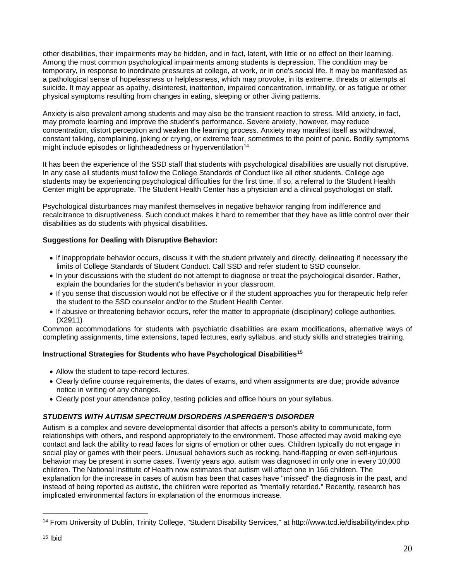other disabilities, their impairments may be hidden, and in fact, latent, with little or no effect on their learning. Among the most common psychological impairments among students is depression. The condition may be temporary, in response to inordinate pressures at college, at work, or in one's social life. It may be manifested as a pathological sense of hopelessness or helplessness, which may provoke, in its extreme, threats or attempts at suicide. It may appear as apathy, disinterest, inattention, impaired concentration, irritability, or as fatigue or other physical symptoms resulting from changes in eating, sleeping or other Jiving patterns.

Anxiety is also prevalent among students and may also be the transient reaction to stress. Mild anxiety, in fact, may promote learning and improve the student's performance. Severe anxiety, however, may reduce concentration, distort perception and weaken the learning process. Anxiety may manifest itself as withdrawal, constant talking, complaining, joking or crying, or extreme fear, sometimes to the point of panic. Bodily symptoms might include episodes or lightheadedness or hyperventilation<sup>[14](#page-19-1)</sup>

It has been the experience of the SSD staff that students with psychological disabilities are usually not disruptive. In any case all students must follow the College Standards of Conduct like all other students. College age students may be experiencing psychological difficulties for the first time. If so, a referral to the Student Health Center might be appropriate. The Student Health Center has a physician and a clinical psychologist on staff.

Psychological disturbances may manifest themselves in negative behavior ranging from indifference and recalcitrance to disruptiveness. Such conduct makes it hard to remember that they have as little control over their disabilities as do students with physical disabilities.

#### **Suggestions for Dealing with Disruptive Behavior:**

- If inappropriate behavior occurs, discuss it with the student privately and directly, delineating if necessary the limits of College Standards of Student Conduct. Call SSD and refer student to SSD counselor.
- In your discussions with the student do not attempt to diagnose or treat the psychological disorder. Rather, explain the boundaries for the student's behavior in your classroom.
- If you sense that discussion would not be effective or if the student approaches you for therapeutic help refer the student to the SSD counselor and/or to the Student Health Center.
- If abusive or threatening behavior occurs, refer the matter to appropriate (disciplinary) college authorities. (X2911)

Common accommodations for students with psychiatric disabilities are exam modifications, alternative ways of completing assignments, time extensions, taped lectures, early syllabus, and study skills and strategies training.

#### **Instructional Strategies for Students who have Psychological Disabilities[15](#page-19-2)**

- Allow the student to tape-record lectures.
- Clearly define course requirements, the dates of exams, and when assignments are due; provide advance notice in writing of any changes.
- Clearly post your attendance policy, testing policies and office hours on your syllabus.

#### <span id="page-19-0"></span>*STUDENTS WITH AUTISM SPECTRUM DISORDERS /ASPERGER'S DISORDER*

Autism is a complex and severe developmental disorder that affects a person's ability to communicate, form relationships with others, and respond appropriately to the environment. Those affected may avoid making eye contact and lack the ability to read faces for signs of emotion or other cues. Children typically do not engage in social play or games with their peers. Unusual behaviors such as rocking, hand-flapping or even self-injurious behavior may be present in some cases. Twenty years ago, autism was diagnosed in only one in every 10,000 children. The National Institute of Health now estimates that autism will affect one in 166 children. The explanation for the increase in cases of autism has been that cases have "missed" the diagnosis in the past, and instead of being reported as autistic, the children were reported as "mentally retarded." Recently, research has implicated environmental factors in explanation of the enormous increase.

<span id="page-19-2"></span><span id="page-19-1"></span><sup>&</sup>lt;sup>14</sup> From University of Dublin, Trinity College, "Student Disability Services," at<http://www.tcd.ie/disability/index.php>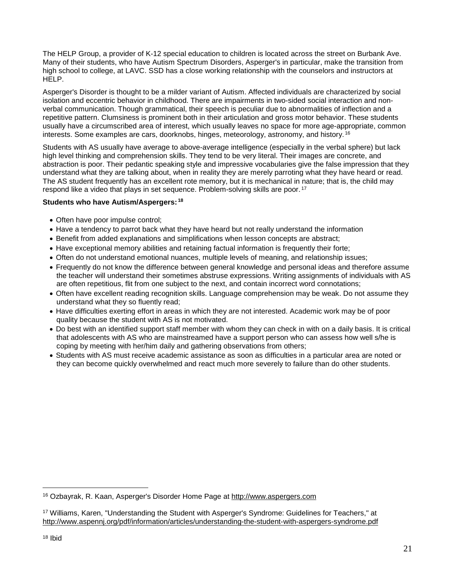The HELP Group, a provider of K-12 special education to children is located across the street on Burbank Ave. Many of their students, who have Autism Spectrum Disorders, Asperger's in particular, make the transition from high school to college, at LAVC. SSD has a close working relationship with the counselors and instructors at HELP.

Asperger's Disorder is thought to be a milder variant of Autism. Affected individuals are characterized by social isolation and eccentric behavior in childhood. There are impairments in two-sided social interaction and nonverbal communication. Though grammatical, their speech is peculiar due to abnormalities of inflection and a repetitive pattern. Clumsiness is prominent both in their articulation and gross motor behavior. These students usually have a circumscribed area of interest, which usually leaves no space for more age-appropriate, common interests. Some examples are cars, doorknobs, hinges, meteorology, astronomy, and history. [16](#page-20-0)

Students with AS usually have average to above-average intelligence (especially in the verbal sphere) but lack high level thinking and comprehension skills. They tend to be very literal. Their images are concrete, and abstraction is poor. Their pedantic speaking style and impressive vocabularies give the false impression that they understand what they are talking about, when in reality they are merely parroting what they have heard or read. The AS student frequently has an excellent rote memory, but it is mechanical in nature; that is, the child may respond like a video that plays in set sequence. Problem-solving skills are poor. [17](#page-20-1)

#### **Students who have Autism/Aspergers: [18](#page-20-2)**

- Often have poor impulse control;
- Have a tendency to parrot back what they have heard but not really understand the information
- Benefit from added explanations and simplifications when lesson concepts are abstract;
- Have exceptional memory abilities and retaining factual information is frequently their forte;
- Often do not understand emotional nuances, multiple levels of meaning, and relationship issues;
- Frequently do not know the difference between general knowledge and personal ideas and therefore assume the teacher will understand their sometimes abstruse expressions. Writing assignments of individuals with AS are often repetitious, flit from one subject to the next, and contain incorrect word connotations;
- Often have excellent reading recognition skills. Language comprehension may be weak. Do not assume they understand what they so fluently read;
- Have difficulties exerting effort in areas in which they are not interested. Academic work may be of poor quality because the student with AS is not motivated.
- Do best with an identified support staff member with whom they can check in with on a daily basis. It is critical that adolescents with AS who are mainstreamed have a support person who can assess how well s/he is coping by meeting with her/him daily and gathering observations from others;
- Students with AS must receive academic assistance as soon as difficulties in a particular area are noted or they can become quickly overwhelmed and react much more severely to failure than do other students.

<span id="page-20-0"></span><sup>16</sup> Ozbayrak, R. Kaan, Asperger's Disorder Home Page at [http://www.aspergers.com](http://www.aspergers.com/)

<span id="page-20-2"></span><span id="page-20-1"></span><sup>17</sup> Williams, Karen, "Understanding the Student with Asperger's Syndrome: Guidelines for Teachers," at <http://www.aspennj.org/pdf/information/articles/understanding-the-student-with-aspergers-syndrome.pdf>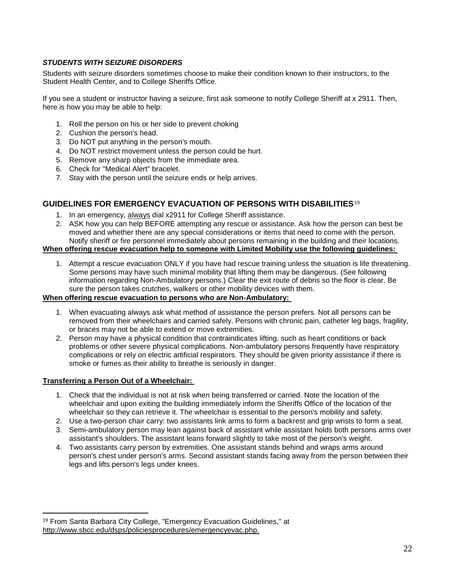#### <span id="page-21-0"></span>*STUDENTS WITH SEIZURE DISORDERS*

Students with seizure disorders sometimes choose to make their condition known to their instructors, to the Student Health Center, and to College Sheriffs Office.

If you see a student or instructor having a seizure, first ask someone to notify College Sheriff at x 2911. Then, here is how you may be able to help:

- 1. Roll the person on his or her side to prevent choking
- 2. Cushion the person's head.
- 3. Do NOT put anything in the person's mouth.
- 4. Do NOT restrict movement unless the person could be hurt.
- 5. Remove any sharp objects from the immediate area.
- 6. Check for "Medical Alert" bracelet.
- 7. Stay with the person until the seizure ends or help arrives.

#### <span id="page-21-1"></span>**GUIDELINES FOR EMERGENCY EVACUATION OF PERSONS WITH DISABILITIES**[19](#page-21-2)

- 1. In an emergency, always dial x2911 for College Sheriff assistance.
- 2. ASK how you can help BEFORE attempting any rescue or assistance. Ask how the person can best be moved and whether there are any special considerations or items that need to come with the person. Notify sheriff or fire personnel immediately about persons remaining in the building and their locations.

#### **When offering rescue evacuation help to someone with Limited Mobility use the following guidelines:**

1. Attempt a rescue evacuation ONLY if you have had rescue training unless the situation is life threatening. Some persons may have such minimal mobility that lifting them may be dangerous. (See following information regarding Non-Ambulatory persons.) Clear the exit route of debris so the floor is clear. Be sure the person takes crutches, walkers or other mobility devices with them.

#### **When offering rescue evacuation to persons who are Non-Ambulatory:**

- 1. When evacuating always ask what method of assistance the person prefers. Not all persons can be removed from their wheelchairs and carried safely. Persons with chronic pain, catheter leg bags, fragility, or braces may not be able to extend or move extremities.
- 2. Person may have a physical condition that contraindicates lifting, such as heart conditions or back problems or other severe physical complications. Non-ambulatory persons frequently have respiratory complications or rely on electric artificial respirators. They should be given priority assistance if there is smoke or fumes as their ability to breathe is seriously in danger.

#### **Transferring a Person Out of a Wheelchair:**

- 1. Check that the individual is not at risk when being transferred or carried. Note the location of the wheelchair and upon exiting the building immediately inform the Sheriffs Office of the location of the wheelchair so they can retrieve it. The wheelchair is essential to the person's mobility and safety.
- 2. Use a two-person chair carry: two assistants link arms to form a backrest and grip wrists to form a seat.
- 3. Semi-ambulatory person may lean against back of assistant while assistant holds both persons arms over assistant's shoulders. The assistant leans forward slightly to take most of the person's weight.
- 4. Two assistants carry person by extremities. One assistant stands behind and wraps arms around person's chest under person's arms. Second assistant stands facing away from the person between their legs and lifts person's legs under knees.

<span id="page-21-2"></span><sup>19</sup> From Santa Barbara City College, "Emergency Evacuation Guidelines," at [http://www.sbcc.edu/dsps/policiesprocedures/emergencyevac.php.](http://www.sbcc.edu/dsps/policiesprocedures/emergencyevac.php)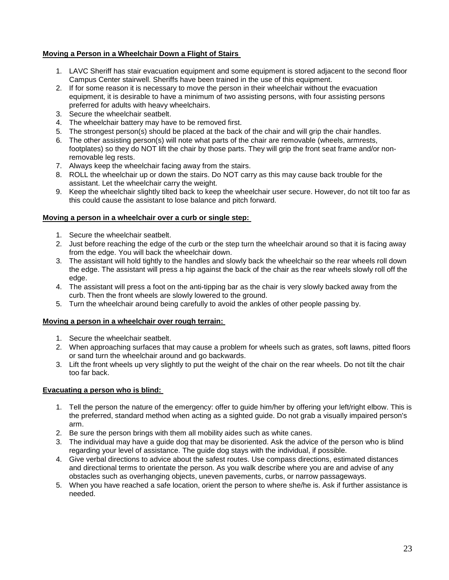#### **Moving a Person in a Wheelchair Down a Flight of Stairs**

- 1. LAVC Sheriff has stair evacuation equipment and some equipment is stored adjacent to the second floor Campus Center stairwell. Sheriffs have been trained in the use of this equipment.
- 2. If for some reason it is necessary to move the person in their wheelchair without the evacuation equipment, it is desirable to have a minimum of two assisting persons, with four assisting persons preferred for adults with heavy wheelchairs.
- 3. Secure the wheelchair seatbelt.
- 4. The wheelchair battery may have to be removed first.
- 5. The strongest person(s) should be placed at the back of the chair and will grip the chair handles.
- 6. The other assisting person(s) will note what parts of the chair are removable (wheels, armrests, footplates) so they do NOT lift the chair by those parts. They will grip the front seat frame and/or nonremovable leg rests.
- 7. Always keep the wheelchair facing away from the stairs.
- 8. ROLL the wheelchair up or down the stairs. Do NOT carry as this may cause back trouble for the assistant. Let the wheelchair carry the weight.
- 9. Keep the wheelchair slightly tilted back to keep the wheelchair user secure. However, do not tilt too far as this could cause the assistant to lose balance and pitch forward.

#### **Moving a person in a wheelchair over a curb or single step:**

- 1. Secure the wheelchair seatbelt.
- 2. Just before reaching the edge of the curb or the step turn the wheelchair around so that it is facing away from the edge. You will back the wheelchair down.
- 3. The assistant will hold tightly to the handles and slowly back the wheelchair so the rear wheels roll down the edge. The assistant will press a hip against the back of the chair as the rear wheels slowly roll off the edge.
- 4. The assistant will press a foot on the anti-tipping bar as the chair is very slowly backed away from the curb. Then the front wheels are slowly lowered to the ground.
- 5. Turn the wheelchair around being carefully to avoid the ankles of other people passing by.

#### **Moving a person in a wheelchair over rough terrain:**

- 1. Secure the wheelchair seatbelt.
- 2. When approaching surfaces that may cause a problem for wheels such as grates, soft lawns, pitted floors or sand turn the wheelchair around and go backwards.
- 3. Lift the front wheels up very slightly to put the weight of the chair on the rear wheels. Do not tilt the chair too far back.

#### **Evacuating a person who is blind:**

- 1. Tell the person the nature of the emergency: offer to guide him/her by offering your left/right elbow. This is the preferred, standard method when acting as a sighted guide. Do not grab a visually impaired person's arm.
- 2. Be sure the person brings with them all mobility aides such as white canes.
- 3. The individual may have a guide dog that may be disoriented. Ask the advice of the person who is blind regarding your level of assistance. The guide dog stays with the individual, if possible.
- 4. Give verbal directions to advice about the safest routes. Use compass directions, estimated distances and directional terms to orientate the person. As you walk describe where you are and advise of any obstacles such as overhanging objects, uneven pavements, curbs, or narrow passageways.
- 5. When you have reached a safe location, orient the person to where she/he is. Ask if further assistance is needed.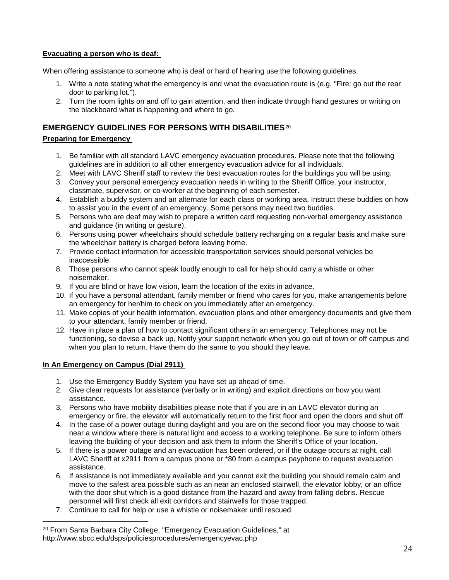#### **Evacuating a person who is deaf:**

When offering assistance to someone who is deaf or hard of hearing use the following guidelines.

- 1. Write a note stating what the emergency is and what the evacuation route is (e.g. "Fire: go out the rear door to parking lot.").
- 2. Turn the room lights on and off to gain attention, and then indicate through hand gestures or writing on the blackboard what is happening and where to go.

#### <span id="page-23-0"></span>**EMERGENCY GUIDELINES FOR PERSONS WITH DISABILITIES**[20](#page-23-1)

#### **Preparing for Emergency**

- 1. Be familiar with all standard LAVC emergency evacuation procedures. Please note that the following guidelines are in addition to all other emergency evacuation advice for all individuals.
- 2. Meet with LAVC Sheriff staff to review the best evacuation routes for the buildings you will be using.
- 3. Convey your personal emergency evacuation needs in writing to the Sheriff Office, your instructor, classmate, supervisor, or co-worker at the beginning of each semester.
- 4. Establish a buddy system and an alternate for each class or working area. Instruct these buddies on how to assist you in the event of an emergency. Some persons may need two buddies.
- 5. Persons who are deaf may wish to prepare a written card requesting non-verbal emergency assistance and guidance (in writing or gesture).
- 6. Persons using power wheelchairs should schedule battery recharging on a regular basis and make sure the wheelchair battery is charged before leaving home.
- 7. Provide contact information for accessible transportation services should personal vehicles be inaccessible.
- 8. Those persons who cannot speak loudly enough to call for help should carry a whistle or other noisemaker.
- 9. If you are blind or have low vision, learn the location of the exits in advance.
- 10. If you have a personal attendant, family member or friend who cares for you, make arrangements before an emergency for her/him to check on you immediately after an emergency.
- 11. Make copies of your health information, evacuation plans and other emergency documents and give them to your attendant, family member or friend.
- 12. Have in place a plan of how to contact significant others in an emergency. Telephones may not be functioning, so devise a back up. Notify your support network when you go out of town or off campus and when you plan to return. Have them do the same to you should they leave.

#### **In An Emergency on Campus (Dial 2911)**

- 1. Use the Emergency Buddy System you have set up ahead of time.
- 2. Give clear requests for assistance (verbally or in writing) and explicit directions on how you want assistance.
- 3. Persons who have mobility disabilities please note that if you are in an LAVC elevator during an emergency or fire, the elevator will automatically return to the first floor and open the doors and shut off.
- 4. In the case of a power outage during daylight and you are on the second floor you may choose to wait near a window where there is natural light and access to a working telephone. Be sure to inform others leaving the building of your decision and ask them to inform the Sheriff's Office of your location.
- 5. If there is a power outage and an evacuation has been ordered, or if the outage occurs at night, call LAVC Sheriff at x2911 from a campus phone or \*80 from a campus payphone to request evacuation assistance.
- 6. If assistance is not immediately available and you cannot exit the building you should remain calm and move to the safest area possible such as an near an enclosed stairwell, the elevator lobby, or an office with the door shut which is a good distance from the hazard and away from falling debris. Rescue personnel will first check all exit corridors and stairwells for those trapped.
- 7. Continue to call for help or use a whistle or noisemaker until rescued.

<span id="page-23-1"></span><sup>20</sup> From Santa Barbara City College, "Emergency Evacuation Guidelines," at <http://www.sbcc.edu/dsps/policiesprocedures/emergencyevac.php>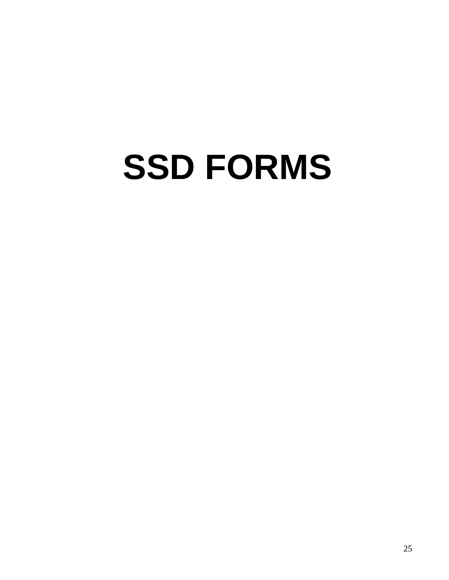# <span id="page-24-0"></span>**SSD FORMS**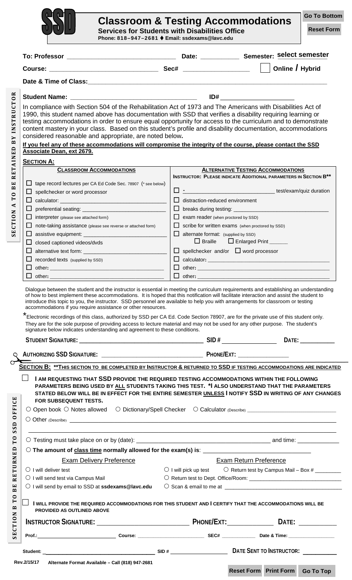

## **Classroom & Testing Accommodations**

| <b>Classroom &amp; Testing Accommodations</b><br><b>Services for Students with Disabilities Office</b><br>Phone: 818-947-2681 ♦ Email: ssdexams@lavc.edu                                                                                                                                                                                                                                                                                                                                                                                                                                                                                                                                                        |                                                                                                                                                                                                                                      |                                                                         |                                             |                                           | <b>Go To Bottom</b><br><b>Reset Form</b> |
|-----------------------------------------------------------------------------------------------------------------------------------------------------------------------------------------------------------------------------------------------------------------------------------------------------------------------------------------------------------------------------------------------------------------------------------------------------------------------------------------------------------------------------------------------------------------------------------------------------------------------------------------------------------------------------------------------------------------|--------------------------------------------------------------------------------------------------------------------------------------------------------------------------------------------------------------------------------------|-------------------------------------------------------------------------|---------------------------------------------|-------------------------------------------|------------------------------------------|
|                                                                                                                                                                                                                                                                                                                                                                                                                                                                                                                                                                                                                                                                                                                 |                                                                                                                                                                                                                                      |                                                                         |                                             |                                           |                                          |
|                                                                                                                                                                                                                                                                                                                                                                                                                                                                                                                                                                                                                                                                                                                 |                                                                                                                                                                                                                                      |                                                                         |                                             |                                           |                                          |
|                                                                                                                                                                                                                                                                                                                                                                                                                                                                                                                                                                                                                                                                                                                 |                                                                                                                                                                                                                                      |                                                                         |                                             |                                           |                                          |
| In compliance with Section 504 of the Rehabilitation Act of 1973 and The Americans with Disabilities Act of<br>1990, this student named above has documentation with SSD that verifies a disability requiring learning or<br>testing accommodations in order to ensure equal opportunity for access to the curriculum and to demonstrate<br>content mastery in your class. Based on this student's profile and disability documentation, accommodations<br>considered reasonable and appropriate, are noted below.<br>If you feel any of these accommodations will compromise the integrity of the course, please contact the SSD<br><b>Associate Dean, ext 2679.</b>                                           |                                                                                                                                                                                                                                      |                                                                         |                                             |                                           |                                          |
| <b>SECTION A:</b>                                                                                                                                                                                                                                                                                                                                                                                                                                                                                                                                                                                                                                                                                               |                                                                                                                                                                                                                                      |                                                                         |                                             |                                           |                                          |
| <b>CLASSROOM ACCOMMODATIONS</b>                                                                                                                                                                                                                                                                                                                                                                                                                                                                                                                                                                                                                                                                                 |                                                                                                                                                                                                                                      | <b>INSTRUCTOR: PLEASE INDICATE ADDITIONAL PARAMETERS IN SECTION B**</b> |                                             | <b>ALTERNATIVE TESTING ACCOMMODATIONS</b> |                                          |
| tape record lectures per CA Ed Code Sec. 78907 (* see below)<br>⊔.                                                                                                                                                                                                                                                                                                                                                                                                                                                                                                                                                                                                                                              |                                                                                                                                                                                                                                      |                                                                         |                                             |                                           |                                          |
| spellchecker or word processor<br>ப                                                                                                                                                                                                                                                                                                                                                                                                                                                                                                                                                                                                                                                                             |                                                                                                                                                                                                                                      |                                                                         |                                             |                                           |                                          |
| ப                                                                                                                                                                                                                                                                                                                                                                                                                                                                                                                                                                                                                                                                                                               |                                                                                                                                                                                                                                      | $\Box$ distraction-reduced environment                                  |                                             |                                           |                                          |
| $\Box$                                                                                                                                                                                                                                                                                                                                                                                                                                                                                                                                                                                                                                                                                                          |                                                                                                                                                                                                                                      |                                                                         |                                             |                                           |                                          |
| $\Box$ interpreter (please see attached form)                                                                                                                                                                                                                                                                                                                                                                                                                                                                                                                                                                                                                                                                   |                                                                                                                                                                                                                                      | $\Box$ exam reader (when proctored by SSD)                              |                                             |                                           |                                          |
| ப<br>note-taking assistance (please see reverse or attached form)                                                                                                                                                                                                                                                                                                                                                                                                                                                                                                                                                                                                                                               |                                                                                                                                                                                                                                      | $\Box$ scribe for written exams (when proctored by SSD)                 |                                             |                                           |                                          |
|                                                                                                                                                                                                                                                                                                                                                                                                                                                                                                                                                                                                                                                                                                                 |                                                                                                                                                                                                                                      | alternate format: (supplied by SSD)                                     |                                             |                                           |                                          |
| $\Box$<br>closed captioned videos/dvds                                                                                                                                                                                                                                                                                                                                                                                                                                                                                                                                                                                                                                                                          |                                                                                                                                                                                                                                      |                                                                         | $\Box$ Braille $\Box$ Enlarged Print ______ |                                           |                                          |
| $\Box$                                                                                                                                                                                                                                                                                                                                                                                                                                                                                                                                                                                                                                                                                                          |                                                                                                                                                                                                                                      | $\Box$ spellchecker and/or $\Box$ word processor                        |                                             |                                           |                                          |
| ⊔                                                                                                                                                                                                                                                                                                                                                                                                                                                                                                                                                                                                                                                                                                               |                                                                                                                                                                                                                                      |                                                                         |                                             |                                           |                                          |
| recorded texts (supplied by SSD)                                                                                                                                                                                                                                                                                                                                                                                                                                                                                                                                                                                                                                                                                |                                                                                                                                                                                                                                      | $\Box$ calculator: $\Box$                                               |                                             |                                           |                                          |
| $\Box$                                                                                                                                                                                                                                                                                                                                                                                                                                                                                                                                                                                                                                                                                                          |                                                                                                                                                                                                                                      |                                                                         |                                             |                                           |                                          |
|                                                                                                                                                                                                                                                                                                                                                                                                                                                                                                                                                                                                                                                                                                                 |                                                                                                                                                                                                                                      |                                                                         |                                             |                                           |                                          |
| accommodations if you require assistance or other resources.<br>Electronic recordings of this class, authorized by SSD per CA Ed. Code Section 78907, are for the private use of this student only.<br>They are for the sole purpose of providing access to lecture material and may not be used for any other purpose. The student's<br>signature below indicates understanding and agreement to these conditions.                                                                                                                                                                                                                                                                                             |                                                                                                                                                                                                                                      |                                                                         |                                             |                                           |                                          |
|                                                                                                                                                                                                                                                                                                                                                                                                                                                                                                                                                                                                                                                                                                                 |                                                                                                                                                                                                                                      |                                                                         |                                             |                                           |                                          |
| SECTION B: ** THIS SECTION TO BE COMPLETED BY INSTRUCTOR & RETURNED TO SSD IF TESTING ACCOMMODATIONS ARE INDICATED                                                                                                                                                                                                                                                                                                                                                                                                                                                                                                                                                                                              |                                                                                                                                                                                                                                      |                                                                         |                                             |                                           |                                          |
| I AM REQUESTING THAT SSD PROVIDE THE REQUIRED TESTING ACCOMMODATIONS WITHIN THE FOLLOWING<br>PARAMETERS BEING USED BY ALL STUDENTS TAKING THIS TEST. * I ALSO UNDERSTAND THAT THE PARAMETERS<br>STATED BELOW WILL BE IN EFFECT FOR THE ENTIRE SEMESTER UNLESS I NOTIFY SSD IN WRITING OF ANY CHANGES<br><b>FOR SUBSEQUENT TESTS.</b><br>O Open book O Notes allowed O Dictionary/Spell Checker O Calculator (Describe) ______________________________<br>O Other (Describe) <b>Contained a later and the contact of the contact of the contact of the contact of the contact of the contact of the contact of the contact of the contact of the contact of the contact of the contact of </b><br>$\overline{S}$ |                                                                                                                                                                                                                                      |                                                                         |                                             |                                           |                                          |
|                                                                                                                                                                                                                                                                                                                                                                                                                                                                                                                                                                                                                                                                                                                 |                                                                                                                                                                                                                                      |                                                                         |                                             |                                           |                                          |
|                                                                                                                                                                                                                                                                                                                                                                                                                                                                                                                                                                                                                                                                                                                 |                                                                                                                                                                                                                                      |                                                                         |                                             |                                           |                                          |
| <b>Exam Delivery Preference</b>                                                                                                                                                                                                                                                                                                                                                                                                                                                                                                                                                                                                                                                                                 |                                                                                                                                                                                                                                      |                                                                         | <b>Exam Return Preference</b>               |                                           |                                          |
| $\bigcirc$ I will deliver test                                                                                                                                                                                                                                                                                                                                                                                                                                                                                                                                                                                                                                                                                  |                                                                                                                                                                                                                                      | $\circ$ I will pick up test $\circ$ Return test by Campus Mail – Box #  |                                             |                                           |                                          |
| O I will send test via Campus Mail                                                                                                                                                                                                                                                                                                                                                                                                                                                                                                                                                                                                                                                                              |                                                                                                                                                                                                                                      |                                                                         |                                             |                                           |                                          |
| $\bigcirc$ I will send by email to SSD at ssdexams@lavc.edu                                                                                                                                                                                                                                                                                                                                                                                                                                                                                                                                                                                                                                                     |                                                                                                                                                                                                                                      |                                                                         |                                             |                                           |                                          |
| I WILL PROVIDE THE REQUIRED ACCOMMODATIONS FOR THIS STUDENT AND I CERTIFY THAT THE ACCOMMODATIONS WILL BE<br><b>PROVIDED AS OUTLINED ABOVE</b>                                                                                                                                                                                                                                                                                                                                                                                                                                                                                                                                                                  |                                                                                                                                                                                                                                      |                                                                         |                                             |                                           |                                          |
| INSTRUCTOR SIGNATURE: NATURE: PHONE/EXT:                                                                                                                                                                                                                                                                                                                                                                                                                                                                                                                                                                                                                                                                        |                                                                                                                                                                                                                                      |                                                                         |                                             |                                           | Date: _______                            |
| Prof.: Professional Professional Professional Professional Professional Professional Professional Professional Professional Professional Professional Professional Professional Professional Professional Professional Profess                                                                                                                                                                                                                                                                                                                                                                                                                                                                                  | Course: <u>with the course of the course of the course of the course of the course of the course of the course of the course of the course of the course of the course of the course of the course of the course of the course o</u> |                                                                         |                                             |                                           |                                          |
|                                                                                                                                                                                                                                                                                                                                                                                                                                                                                                                                                                                                                                                                                                                 |                                                                                                                                                                                                                                      |                                                                         |                                             | DATE SENT TO INSTRUCTOR:                  |                                          |
| Rev.2/15/17<br>Alternate Format Available - Call (818) 947-2681                                                                                                                                                                                                                                                                                                                                                                                                                                                                                                                                                                                                                                                 |                                                                                                                                                                                                                                      |                                                                         |                                             |                                           |                                          |
|                                                                                                                                                                                                                                                                                                                                                                                                                                                                                                                                                                                                                                                                                                                 |                                                                                                                                                                                                                                      |                                                                         |                                             | <b>Reset Form Print Form</b>              | <b>Go To Top</b>                         |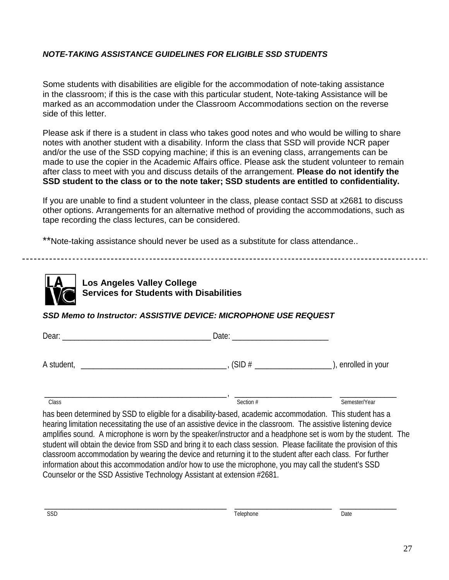## <span id="page-26-0"></span>*NOTE-TAKING ASSISTANCE GUIDELINES FOR ELIGIBLE SSD STUDENTS*

Some students with disabilities are eligible for the accommodation of note-taking assistance in the classroom; if this is the case with this particular student, Note-taking Assistance will be marked as an accommodation under the Classroom Accommodations section on the reverse side of this letter.

Please ask if there is a student in class who takes good notes and who would be willing to share notes with another student with a disability. Inform the class that SSD will provide NCR paper and/or the use of the SSD copying machine; if this is an evening class, arrangements can be made to use the copier in the Academic Affairs office. Please ask the student volunteer to remain after class to meet with you and discuss details of the arrangement. **Please do not identify the SSD student to the class or to the note taker; SSD students are entitled to confidentiality.** 

If you are unable to find a student volunteer in the class, please contact SSD at x2681 to discuss other options. Arrangements for an alternative method of providing the accommodations, such as tape recording the class lectures, can be considered.

\*\*Note-taking assistance should never be used as a substitute for class attendance..



#### <span id="page-26-1"></span>*SSD Memo to Instructor: ASSISTIVE DEVICE: MICROPHONE USE REQUEST*

| Dear:<br><u> 1989 - Jan Berlin, mars and de Britain and de Britain and de Britain and de Britain and de Britain and de Br</u> |               |                     |
|-------------------------------------------------------------------------------------------------------------------------------|---------------|---------------------|
| A student,<br><u> 1980 - Jan Barat, Amerikaansk politik (</u>                                                                 | , $(SID # \_$ | ), enrolled in your |
| Class                                                                                                                         | Section #     | Semester/Year       |

has been determined by SSD to eligible for a disability-based, academic accommodation. This student has a hearing limitation necessitating the use of an assistive device in the classroom. The assistive listening device amplifies sound. A microphone is worn by the speaker/instructor and a headphone set is worn by the student. The student will obtain the device from SSD and bring it to each class session. Please facilitate the provision of this classroom accommodation by wearing the device and returning it to the student after each class. For further information about this accommodation and/or how to use the microphone, you may call the student's SSD Counselor or the SSD Assistive Technology Assistant at extension #2681.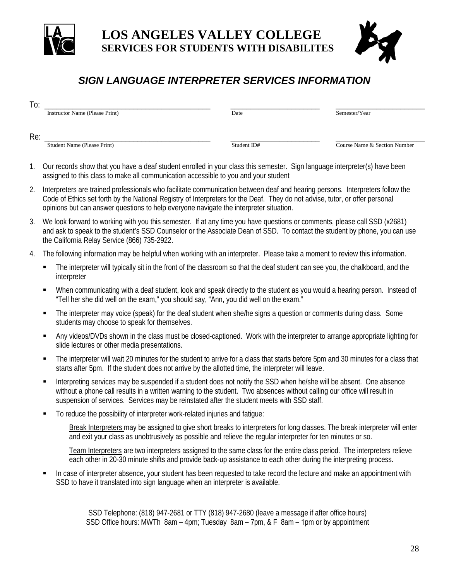



## *SIGN LANGUAGE INTERPRETER SERVICES INFORMATION*

<span id="page-27-0"></span>

| To. |                                |             |                              |
|-----|--------------------------------|-------------|------------------------------|
|     | Instructor Name (Please Print) | Date        | Semester/Year                |
|     |                                |             |                              |
| Re: |                                |             |                              |
|     | Student Name (Please Print)    | Student ID# | Course Name & Section Number |

- 1. Our records show that you have a deaf student enrolled in your class this semester. Sign language interpreter(s) have been assigned to this class to make all communication accessible to you and your student
- 2. Interpreters are trained professionals who facilitate communication between deaf and hearing persons. Interpreters follow the Code of Ethics set forth by the National Registry of Interpreters for the Deaf. They do not advise, tutor, or offer personal opinions but can answer questions to help everyone navigate the interpreter situation.
- 3. We look forward to working with you this semester. If at any time you have questions or comments, please call SSD (x2681) and ask to speak to the student's SSD Counselor or the Associate Dean of SSD. To contact the student by phone, you can use the California Relay Service (866) 735-2922.
- 4. The following information may be helpful when working with an interpreter. Please take a moment to review this information.
	- The interpreter will typically sit in the front of the classroom so that the deaf student can see you, the chalkboard, and the interpreter
	- When communicating with a deaf student, look and speak directly to the student as you would a hearing person. Instead of "Tell her she did well on the exam," you should say, "Ann, you did well on the exam."
	- The interpreter may voice (speak) for the deaf student when she/he signs a question or comments during class. Some students may choose to speak for themselves.
	- Any videos/DVDs shown in the class must be closed-captioned. Work with the interpreter to arrange appropriate lighting for slide lectures or other media presentations.
	- The interpreter will wait 20 minutes for the student to arrive for a class that starts before 5pm and 30 minutes for a class that starts after 5pm. If the student does not arrive by the allotted time, the interpreter will leave.
	- Interpreting services may be suspended if a student does not notify the SSD when he/she will be absent. One absence without a phone call results in a written warning to the student. Two absences without calling our office will result in suspension of services. Services may be reinstated after the student meets with SSD staff.
	- To reduce the possibility of interpreter work-related injuries and fatigue:

Break Interpreters may be assigned to give short breaks to interpreters for long classes. The break interpreter will enter and exit your class as unobtrusively as possible and relieve the regular interpreter for ten minutes or so.

Team Interpreters are two interpreters assigned to the same class for the entire class period. The interpreters relieve each other in 20-30 minute shifts and provide back-up assistance to each other during the interpreting process.

 In case of interpreter absence, your student has been requested to take record the lecture and make an appointment with SSD to have it translated into sign language when an interpreter is available.

> SSD Telephone: (818) 947-2681 or TTY (818) 947-2680 (leave a message if after office hours) SSD Office hours: MWTh 8am – 4pm; Tuesday 8am – 7pm, & F 8am – 1pm or by appointment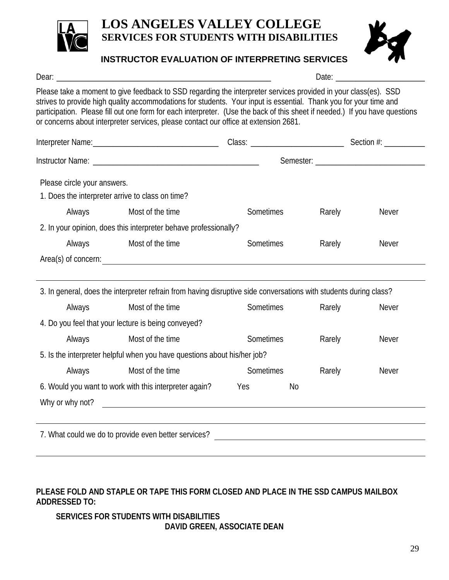

## **LOS ANGELES VALLEY COLLEGE SERVICES FOR STUDENTS WITH DISABILITIES**



## **INSTRUCTOR EVALUATION OF INTERPRETING SERVICES**

<span id="page-28-0"></span>Dear: <u>Dear</u>:

Please take a moment to give feedback to SSD regarding the interpreter services provided in your class(es). SSD strives to provide high quality accommodations for students. Your input is essential. Thank you for your time and participation. Please fill out one form for each interpreter. (Use the back of this sheet if needed.) If you have questions or concerns about interpreter services, please contact our office at extension 2681.

| Please circle your answers.                                              | 1. Does the interpreter arrive to class on time?                                                                                                                                                                                      |                  |        |              |
|--------------------------------------------------------------------------|---------------------------------------------------------------------------------------------------------------------------------------------------------------------------------------------------------------------------------------|------------------|--------|--------------|
| Always                                                                   | Most of the time                                                                                                                                                                                                                      | Sometimes        | Rarely | <b>Never</b> |
|                                                                          | 2. In your opinion, does this interpreter behave professionally?                                                                                                                                                                      |                  |        |              |
| Always                                                                   | Most of the time                                                                                                                                                                                                                      | <b>Sometimes</b> | Rarely | <b>Never</b> |
|                                                                          | Area(s) of concern:<br><u> and</u> the context of context and the context of the context of the context of the context of the context of the context of the context of the context of the context of the context of the context of th |                  |        |              |
|                                                                          |                                                                                                                                                                                                                                       |                  |        |              |
|                                                                          | 3. In general, does the interpreter refrain from having disruptive side conversations with students during class?                                                                                                                     |                  |        |              |
| Always                                                                   | Most of the time                                                                                                                                                                                                                      | Sometimes        | Rarely | <b>Never</b> |
|                                                                          | 4. Do you feel that your lecture is being conveyed?                                                                                                                                                                                   |                  |        |              |
| Always                                                                   | Most of the time                                                                                                                                                                                                                      | Sometimes        | Rarely | <b>Never</b> |
| 5. Is the interpreter helpful when you have questions about his/her job? |                                                                                                                                                                                                                                       |                  |        |              |
| Always                                                                   | Most of the time                                                                                                                                                                                                                      | Sometimes        | Rarely | <b>Never</b> |
|                                                                          | 6. Would you want to work with this interpreter again?                                                                                                                                                                                | Yes<br>No        |        |              |
| Why or why not?                                                          | <u> 1989 - Johann Stoff, deutscher Stoffen und der Stoffen und der Stoffen und der Stoffen und der Stoffen und der</u>                                                                                                                |                  |        |              |

7. What could we do to provide even better services?

## **PLEASE FOLD AND STAPLE OR TAPE THIS FORM CLOSED AND PLACE IN THE SSD CAMPUS MAILBOX ADDRESSED TO:**

## **SERVICES FOR STUDENTS WITH DISABILITIES DAVID GREEN, ASSOCIATE DEAN**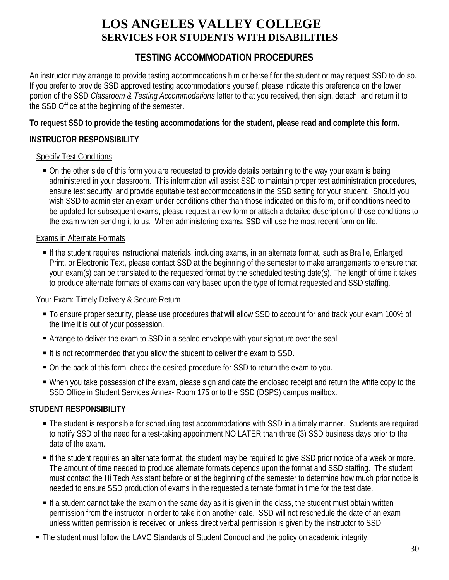## **LOS ANGELES VALLEY COLLEGE SERVICES FOR STUDENTS WITH DISABILITIES**

## **TESTING ACCOMMODATION PROCEDURES**

An instructor may arrange to provide testing accommodations him or herself for the student or may request SSD to do so. If you prefer to provide SSD approved testing accommodations yourself, please indicate this preference on the lower portion of the SSD *Classroom & Testing Accommodations* letter to that you received, then sign, detach, and return it to the SSD Office at the beginning of the semester.

## **To request SSD to provide the testing accommodations for the student, please read and complete this form.**

## **INSTRUCTOR RESPONSIBILITY**

## Specify Test Conditions

 On the other side of this form you are requested to provide details pertaining to the way your exam is being administered in your classroom. This information will assist SSD to maintain proper test administration procedures, ensure test security, and provide equitable test accommodations in the SSD setting for your student. Should you wish SSD to administer an exam under conditions other than those indicated on this form, or if conditions need to be updated for subsequent exams, please request a new form or attach a detailed description of those conditions to the exam when sending it to us. When administering exams, SSD will use the most recent form on file.

## Exams in Alternate Formats

 If the student requires instructional materials, including exams, in an alternate format, such as Braille, Enlarged Print, or Electronic Text, please contact SSD at the beginning of the semester to make arrangements to ensure that your exam(s) can be translated to the requested format by the scheduled testing date(s). The length of time it takes to produce alternate formats of exams can vary based upon the type of format requested and SSD staffing.

#### Your Exam: Timely Delivery & Secure Return

- To ensure proper security, please use procedures that will allow SSD to account for and track your exam 100% of the time it is out of your possession.
- Arrange to deliver the exam to SSD in a sealed envelope with your signature over the seal.
- It is not recommended that you allow the student to deliver the exam to SSD.
- On the back of this form, check the desired procedure for SSD to return the exam to you.
- When you take possession of the exam, please sign and date the enclosed receipt and return the white copy to the SSD Office in Student Services Annex- Room 175 or to the SSD (DSPS) campus mailbox.

## **STUDENT RESPONSIBILITY**

- The student is responsible for scheduling test accommodations with SSD in a timely manner. Students are required to notify SSD of the need for a test-taking appointment NO LATER than three (3) SSD business days prior to the date of the exam.
- If the student requires an alternate format, the student may be required to give SSD prior notice of a week or more. The amount of time needed to produce alternate formats depends upon the format and SSD staffing. The student must contact the Hi Tech Assistant before or at the beginning of the semester to determine how much prior notice is needed to ensure SSD production of exams in the requested alternate format in time for the test date.
- If a student cannot take the exam on the same day as it is given in the class, the student must obtain written permission from the instructor in order to take it on another date. SSD will not reschedule the date of an exam unless written permission is received or unless direct verbal permission is given by the instructor to SSD.
- The student must follow the LAVC Standards of Student Conduct and the policy on academic integrity.